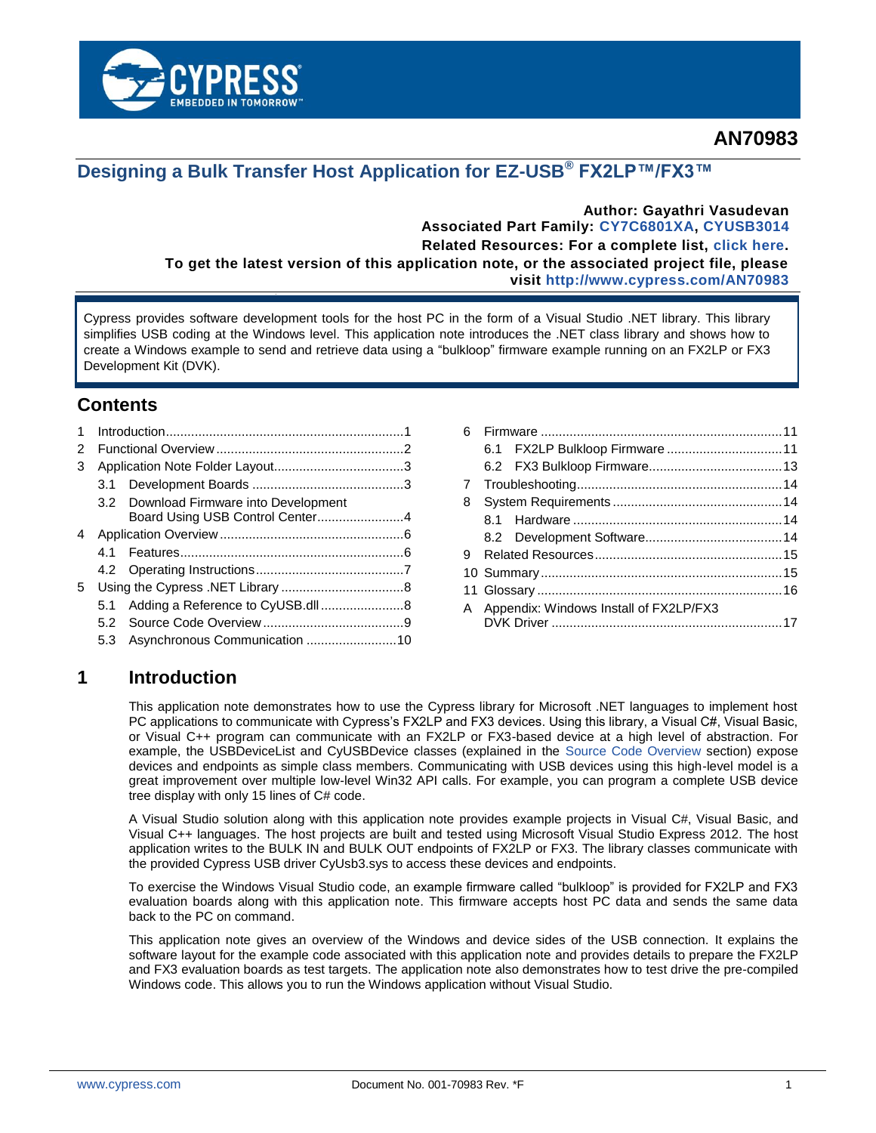

## **Designing a Bulk Transfer Host Application for EZ-USB® FX2LP™/FX3™**

**Author: Gayathri Vasudevan Associated Part Family: [CY7C6801XA,](http://www.cypress.com/products/ez-usb-fx2lp) [CYUSB3014](http://www.cypress.com/products/ez-usb-fx3-superspeed-usb-30-peripheral-controller) Related Resources: For a complete list, [click here.](#page-14-0)**

**To get the latest version of this application note, or the associated project file, please visit<http://www.cypress.com/AN70983>**

Cypress provides software development tools for the host PC in the form of a Visual Studio .NET library. This library simplifies USB coding at the Windows level. This application note introduces the .NET class library and shows how to create a Windows example to send and retrieve data using a "bulkloop" firmware example running on an FX2LP or FX3 Development Kit (DVK).

### **Contents**

| 1 |     |                                        |  |  |  |  |
|---|-----|----------------------------------------|--|--|--|--|
| 2 |     |                                        |  |  |  |  |
| 3 |     |                                        |  |  |  |  |
|   |     |                                        |  |  |  |  |
|   |     | 3.2 Download Firmware into Development |  |  |  |  |
|   |     | Board Using USB Control Center4        |  |  |  |  |
| 4 |     |                                        |  |  |  |  |
|   | 41  |                                        |  |  |  |  |
|   |     |                                        |  |  |  |  |
| 5 |     |                                        |  |  |  |  |
|   | 5.1 | Adding a Reference to CyUSB.dll8       |  |  |  |  |
|   |     |                                        |  |  |  |  |
|   |     |                                        |  |  |  |  |

| 6. |                                          |  |
|----|------------------------------------------|--|
|    |                                          |  |
|    |                                          |  |
|    |                                          |  |
| 8  |                                          |  |
|    |                                          |  |
|    |                                          |  |
|    |                                          |  |
|    |                                          |  |
|    |                                          |  |
|    | A Appendix: Windows Install of FX2LP/FX3 |  |
|    |                                          |  |
|    |                                          |  |

### <span id="page-0-0"></span>**1 Introduction**

This application note demonstrates how to use the Cypress library for Microsoft .NET languages to implement host PC applications to communicate with Cypress"s FX2LP and FX3 devices. Using this library, a Visual C#, Visual Basic, or Visual C++ program can communicate with an FX2LP or FX3-based device at a high level of abstraction. For example, the USBDeviceList and CyUSBDevice classes (explained in the [Source Code Overview](#page-8-0) section) expose devices and endpoints as simple class members. Communicating with USB devices using this high-level model is a great improvement over multiple low-level Win32 API calls. For example, you can program a complete USB device tree display with only 15 lines of C# code.

A Visual Studio solution along with this application note provides example projects in Visual C#, Visual Basic, and Visual C++ languages. The host projects are built and tested using Microsoft Visual Studio Express 2012. The host application writes to the BULK IN and BULK OUT endpoints of FX2LP or FX3. The library classes communicate with the provided Cypress USB driver CyUsb3.sys to access these devices and endpoints.

To exercise the Windows Visual Studio code, an example firmware called "bulkloop" is provided for FX2LP and FX3 evaluation boards along with this application note. This firmware accepts host PC data and sends the same data back to the PC on command.

This application note gives an overview of the Windows and device sides of the USB connection. It explains the software layout for the example code associated with this application note and provides details to prepare the FX2LP and FX3 evaluation boards as test targets. The application note also demonstrates how to test drive the pre-compiled Windows code. This allows you to run the Windows application without Visual Studio.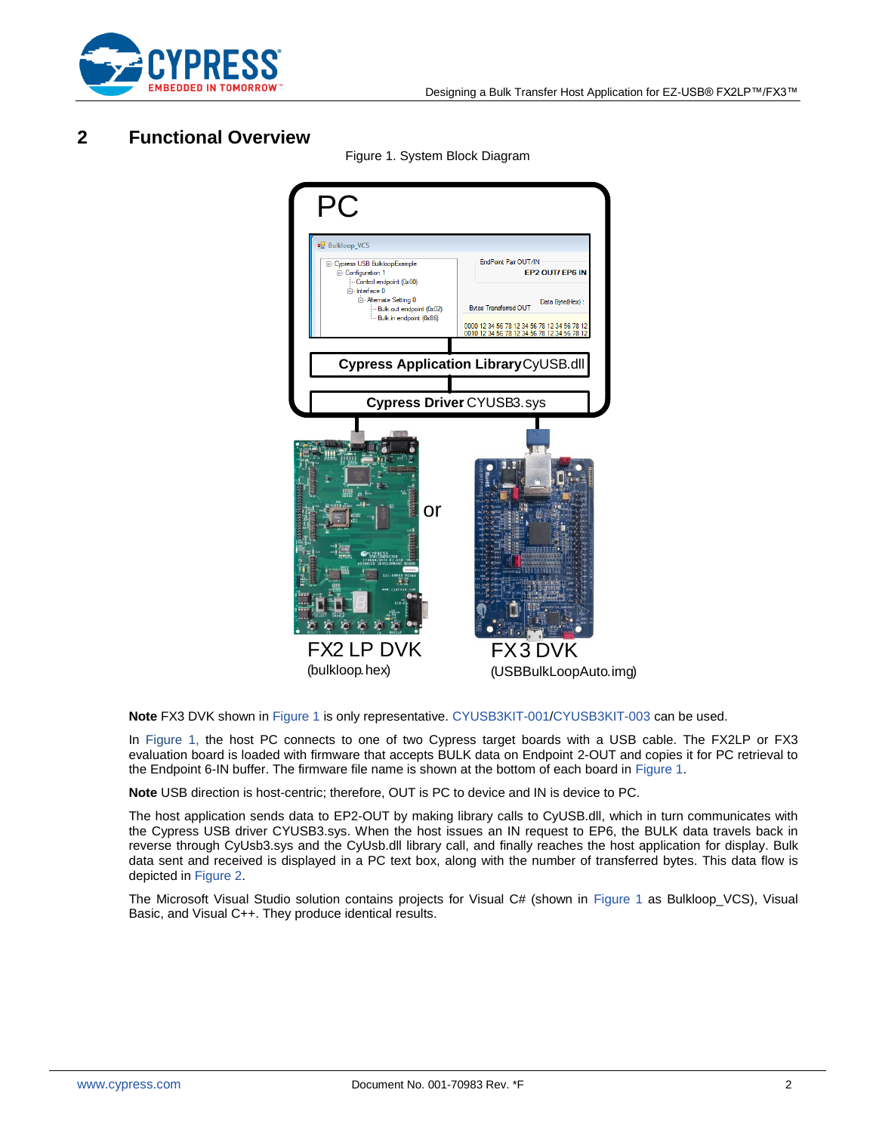

## <span id="page-1-1"></span><span id="page-1-0"></span>**2 Functional Overview**



Figure 1. System Block Diagram

**Note** FX3 DVK shown i[n Figure 1](#page-1-1) is only representative. [CYUSB3KIT-001](http://www.cypress.com/?rID=58321)[/CYUSB3KIT-003](http://www.cypress.com/?rID=99916) can be used.

In [Figure 1,](#page-1-1) the host PC connects to one of two Cypress target boards with a USB cable. The FX2LP or FX3 evaluation board is loaded with firmware that accepts BULK data on Endpoint 2-OUT and copies it for PC retrieval to the Endpoint 6-IN buffer. The firmware file name is shown at the bottom of each board in [Figure 1.](#page-1-1)

**Note** USB direction is host-centric; therefore, OUT is PC to device and IN is device to PC.

The host application sends data to EP2-OUT by making library calls to CyUSB.dll, which in turn communicates with the Cypress USB driver CYUSB3.sys. When the host issues an IN request to EP6, the BULK data travels back in reverse through CyUsb3.sys and the CyUsb.dll library call, and finally reaches the host application for display. Bulk data sent and received is displayed in a PC text box, along with the number of transferred bytes. This data flow is depicted in [Figure 2.](#page-2-2)

The Microsoft Visual Studio solution contains projects for Visual C# (shown in [Figure 1](#page-1-1) as Bulkloop\_VCS), Visual Basic, and Visual C++. They produce identical results.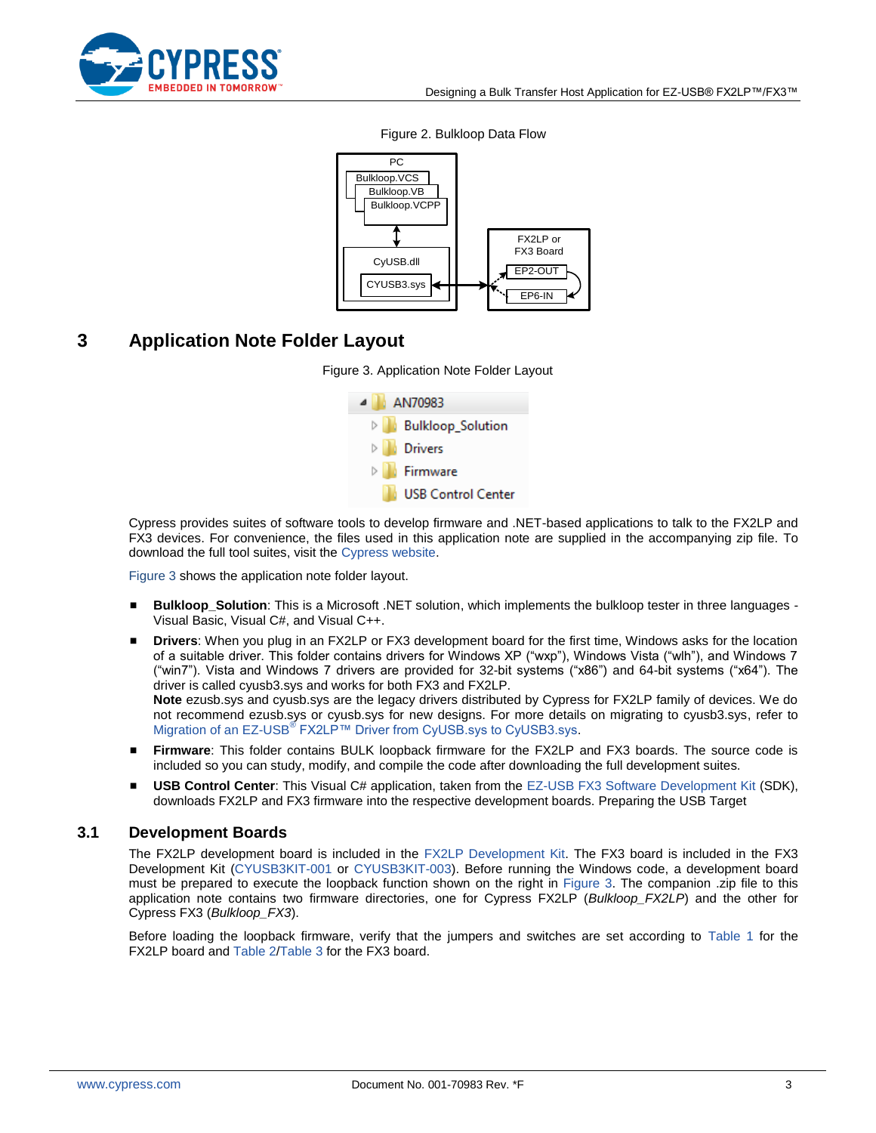<span id="page-2-2"></span>

#### Bulkloop.VCS Bulkloop.VB Bulkloop.VCPP CyUSB.dll CYUSB3.sys FX2LP or FX3 Board EP2-OUT EP6-IN PC

#### Figure 2. Bulkloop Data Flow

## <span id="page-2-3"></span><span id="page-2-0"></span>**3 Application Note Folder Layout**





Cypress provides suites of software tools to develop firmware and .NET-based applications to talk to the FX2LP and FX3 devices. For convenience, the files used in this application note are supplied in the accompanying zip file. To download the full tool suites, visit the [Cypress website.](http://www.cypress.com/?rID=34870)

[Figure 3](#page-2-3) shows the application note folder layout.

- **Bulkloop\_Solution**: This is a Microsoft .NET solution, which implements the bulkloop tester in three languages Visual Basic, Visual C#, and Visual C++.
- **Drivers**: When you plug in an FX2LP or FX3 development board for the first time, Windows asks for the location of a suitable driver. This folder contains drivers for Windows XP ("wxp"), Windows Vista ("wlh"), and Windows 7 ("win7"). Vista and Windows 7 drivers are provided for 32-bit systems ("x86") and 64-bit systems ("x64"). The driver is called cyusb3.sys and works for both FX3 and FX2LP. **Note** ezusb.sys and cyusb.sys are the legacy drivers distributed by Cypress for FX2LP family of devices. We do

not recommend ezusb.sys or cyusb.sys for new designs. For more details on migrating to cyusb3.sys, refer to Migration of an EZ-USB<sup>®</sup> [FX2LP™ Driver from CyUSB.sys to CyUSB3.sys.](http://www.cypress.com/knowledge-base-article/migration-ez-usb-fx2lp-driver-cyusbsys-cyusb3sys-kba92893?source=search&keywords=KBA92893)

- **Firmware**: This folder contains BULK loopback firmware for the FX2LP and FX3 boards. The source code is included so you can study, modify, and compile the code after downloading the full development suites.
- **USB Control Center**: This Visual C# application, taken from the [EZ-USB FX3 Software Development Kit](http://www.cypress.com/?rID=57990) (SDK), downloads FX2LP and FX3 firmware into the respective development boards. Preparing the USB Target

### <span id="page-2-1"></span>**3.1 Development Boards**

The FX2LP development board is included in the [FX2LP Development Kit.](http://www.cypress.com/?rID=14321) The FX3 board is included in the FX3 Development Kit [\(CYUSB3KIT-001](http://www.cypress.com/?rID=58321) or [CYUSB3KIT-003\)](http://www.cypress.com/?rID=99916). Before running the Windows code, a development board must be prepared to execute the loopback function shown on the right in [Figure 3.](#page-2-3) The companion .zip file to this application note contains two firmware directories, one for Cypress FX2LP (*Bulkloop\_FX2LP*) and the other for Cypress FX3 (*Bulkloop\_FX3*).

Before loading the loopback firmware, verify that the jumpers and switches are set according to [Table 1](#page-3-1) for the FX2LP board and [Table 2](#page-3-2)[/Table 3](#page-3-3) for the FX3 board.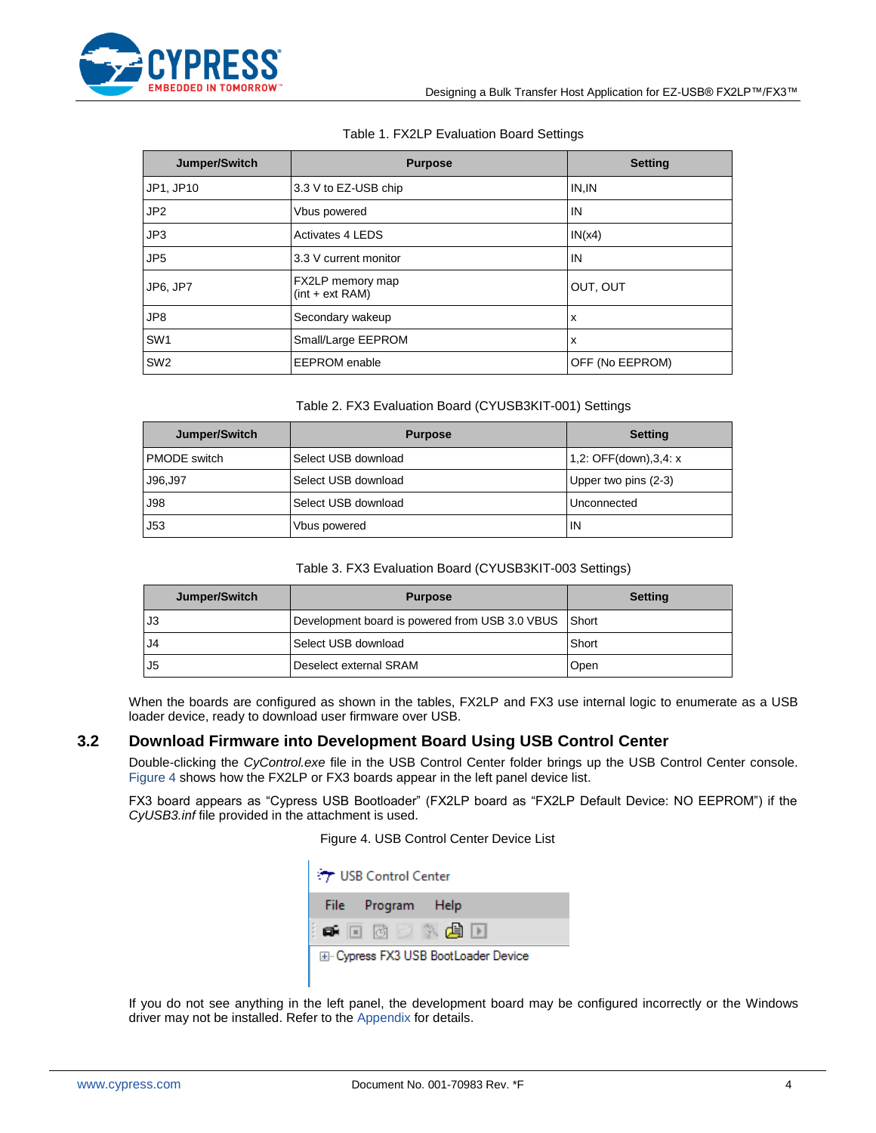

#### Table 1. FX2LP Evaluation Board Settings

<span id="page-3-1"></span>

| Jumper/Switch   | <b>Purpose</b>                        | <b>Setting</b>  |
|-----------------|---------------------------------------|-----------------|
| JP1, JP10       | 3.3 V to EZ-USB chip                  | IN, IN          |
| JP <sub>2</sub> | Vbus powered                          | IN              |
| JP3             | <b>Activates 4 LEDS</b>               | IN(x4)          |
| JP <sub>5</sub> | 3.3 V current monitor                 | IN              |
| JP6, JP7        | FX2LP memory map<br>$(int + ext RAM)$ | OUT, OUT        |
| JP8             | Secondary wakeup                      | $\mathsf{x}$    |
| SW <sub>1</sub> | Small/Large EEPROM                    | ΙX              |
| SW <sub>2</sub> | <b>EEPROM</b> enable                  | OFF (No EEPROM) |

#### Table 2. FX3 Evaluation Board (CYUSB3KIT-001) Settings

<span id="page-3-2"></span>

| Jumper/Switch       | <b>Purpose</b>      | <b>Setting</b>        |
|---------------------|---------------------|-----------------------|
| <b>PMODE</b> switch | Select USB download | 1,2: OFF(down),3,4: x |
| J96,J97             | Select USB download | Upper two pins (2-3)  |
| <b>J98</b>          | Select USB download | Unconnected           |
| J53                 | Vbus powered        | IN                    |

#### Table 3. FX3 Evaluation Board (CYUSB3KIT-003 Settings)

<span id="page-3-3"></span>

| Jumper/Switch  | <b>Purpose</b>                                       | <b>Setting</b> |
|----------------|------------------------------------------------------|----------------|
| l J3           | Development board is powered from USB 3.0 VBUS Short |                |
| J <sub>4</sub> | Select USB download                                  | Short          |
| J <sub>5</sub> | Deselect external SRAM                               | Open           |

When the boards are configured as shown in the tables, FX2LP and FX3 use internal logic to enumerate as a USB loader device, ready to download user firmware over USB.

### <span id="page-3-0"></span>**3.2 Download Firmware into Development Board Using USB Control Center**

Double-clicking the *CyControl.exe* file in the USB Control Center folder brings up the USB Control Center console. [Figure 4](#page-3-4) shows how the FX2LP or FX3 boards appear in the left panel device list.

<span id="page-3-4"></span>FX3 board appears as "Cypress USB Bootloader" (FX2LP board as "FX2LP Default Device: NO EEPROM") if the *CyUSB3.inf* file provided in the attachment is used.

Figure 4. USB Control Center Device List

|                                      | <b>T</b> USB Control Center |  |  |  |                   |  |  |
|--------------------------------------|-----------------------------|--|--|--|-------------------|--|--|
|                                      |                             |  |  |  | File Program Help |  |  |
|                                      |                             |  |  |  | io-do Xand        |  |  |
| 国· Cypress FX3 USB BootLoader Device |                             |  |  |  |                   |  |  |

If you do not see anything in the left panel, the development board may be configured incorrectly or the Windows driver may not be installed. Refer to th[e Appendix](#page-15-1) for details.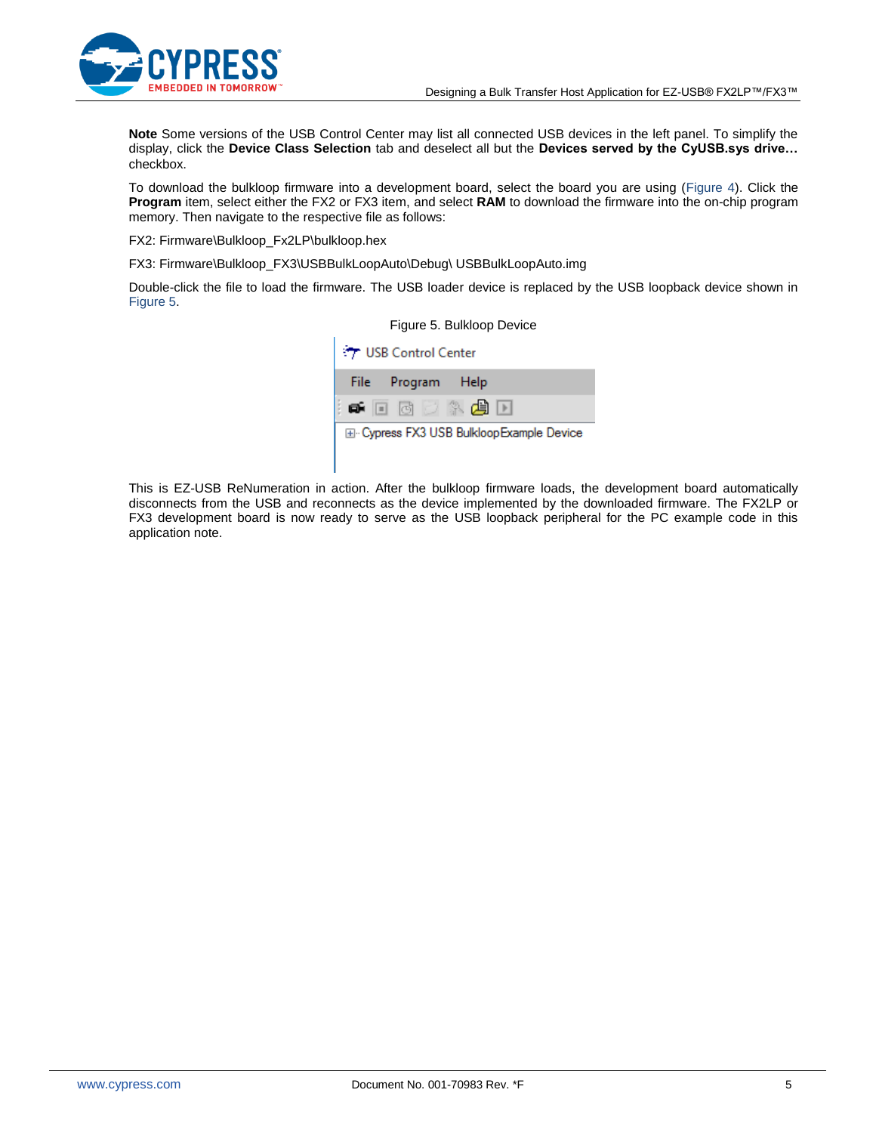

**Note** Some versions of the USB Control Center may list all connected USB devices in the left panel. To simplify the display, click the **Device Class Selection** tab and deselect all but the **Devices served by the CyUSB.sys drive…** checkbox.

To download the bulkloop firmware into a development board, select the board you are using [\(Figure 4\)](#page-3-4). Click the **Program** item, select either the FX2 or FX3 item, and select **RAM** to download the firmware into the on-chip program memory. Then navigate to the respective file as follows:

FX2: Firmware\Bulkloop\_Fx2LP\bulkloop.hex

FX3: Firmware\Bulkloop\_FX3\USBBulkLoopAuto\Debug\ USBBulkLoopAuto.img

<span id="page-4-0"></span>Double-click the file to load the firmware. The USB loader device is replaced by the USB loopback device shown in [Figure 5.](#page-4-0)



This is EZ-USB ReNumeration in action. After the bulkloop firmware loads, the development board automatically disconnects from the USB and reconnects as the device implemented by the downloaded firmware. The FX2LP or FX3 development board is now ready to serve as the USB loopback peripheral for the PC example code in this application note.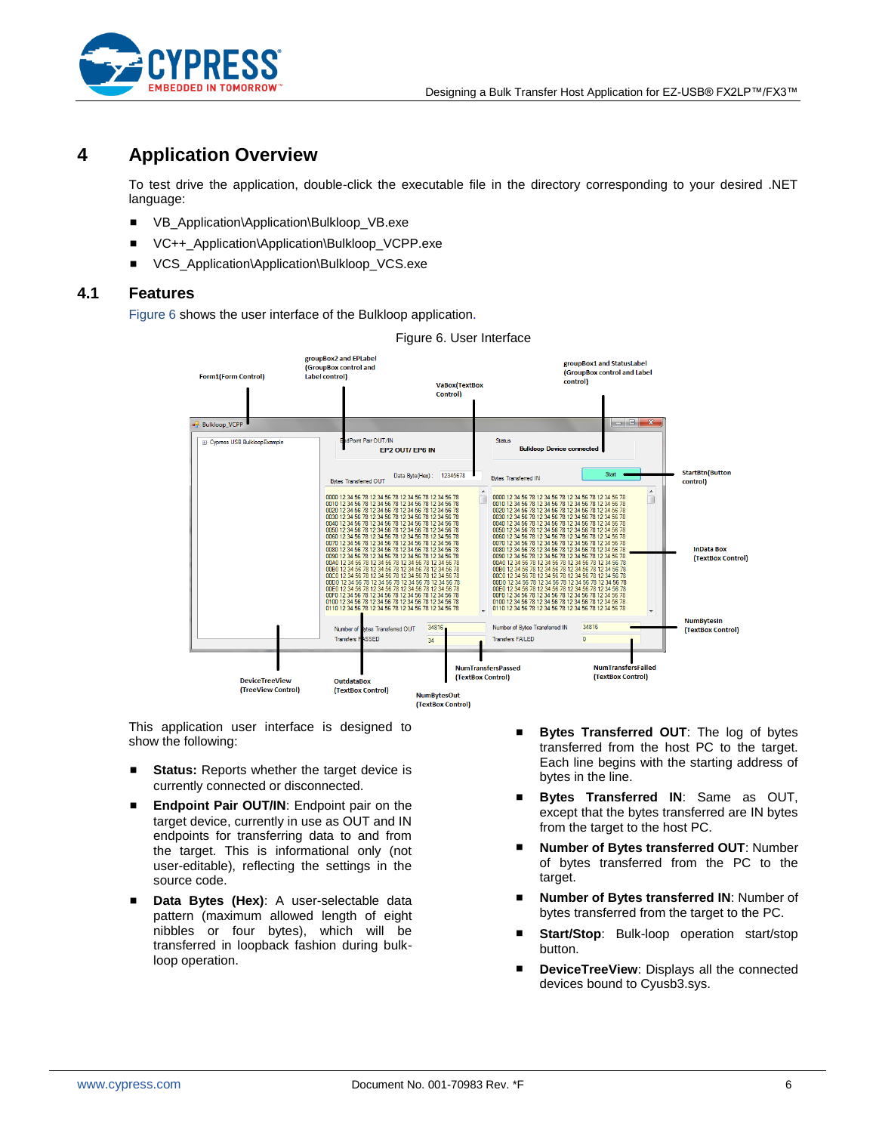

### <span id="page-5-0"></span>**4 Application Overview**

To test drive the application, double-click the executable file in the directory corresponding to your desired .NET language:

- VB\_Application\Application\Bulkloop\_VB.exe
- VC++\_Application\Application\Bulkloop\_VCPP.exe
- VCS Application\Application\Bulkloop VCS.exe

### <span id="page-5-2"></span><span id="page-5-1"></span>**4.1 Features**

[Figure 6](#page-5-2) shows the user interface of the Bulkloop applicatio[n.](#page-5-2)



Figure 6. User Interface

This application user interface is designed to show the following:

- **Status:** Reports whether the target device is currently connected or disconnected.
- **Endpoint Pair OUT/IN:** Endpoint pair on the target device, currently in use as OUT and IN endpoints for transferring data to and from the target. This is informational only (not user-editable), reflecting the settings in the source code.
- **Data Bytes (Hex)**: A user-selectable data pattern (maximum allowed length of eight nibbles or four bytes), which will be transferred in loopback fashion during bulkloop operation.
- **Bytes Transferred OUT:** The log of bytes transferred from the host PC to the target. Each line begins with the starting address of bytes in the line.
- **Bytes Transferred IN**: Same as OUT, except that the bytes transferred are IN bytes from the target to the host PC.
- **Number of Bytes transferred OUT**: Number of bytes transferred from the PC to the target.
- **Number of Bytes transferred IN**: Number of bytes transferred from the target to the PC.
- **Start/Stop**: Bulk-loop operation start/stop button.
- **DeviceTreeView**: Displays all the connected devices bound to Cyusb3.sys.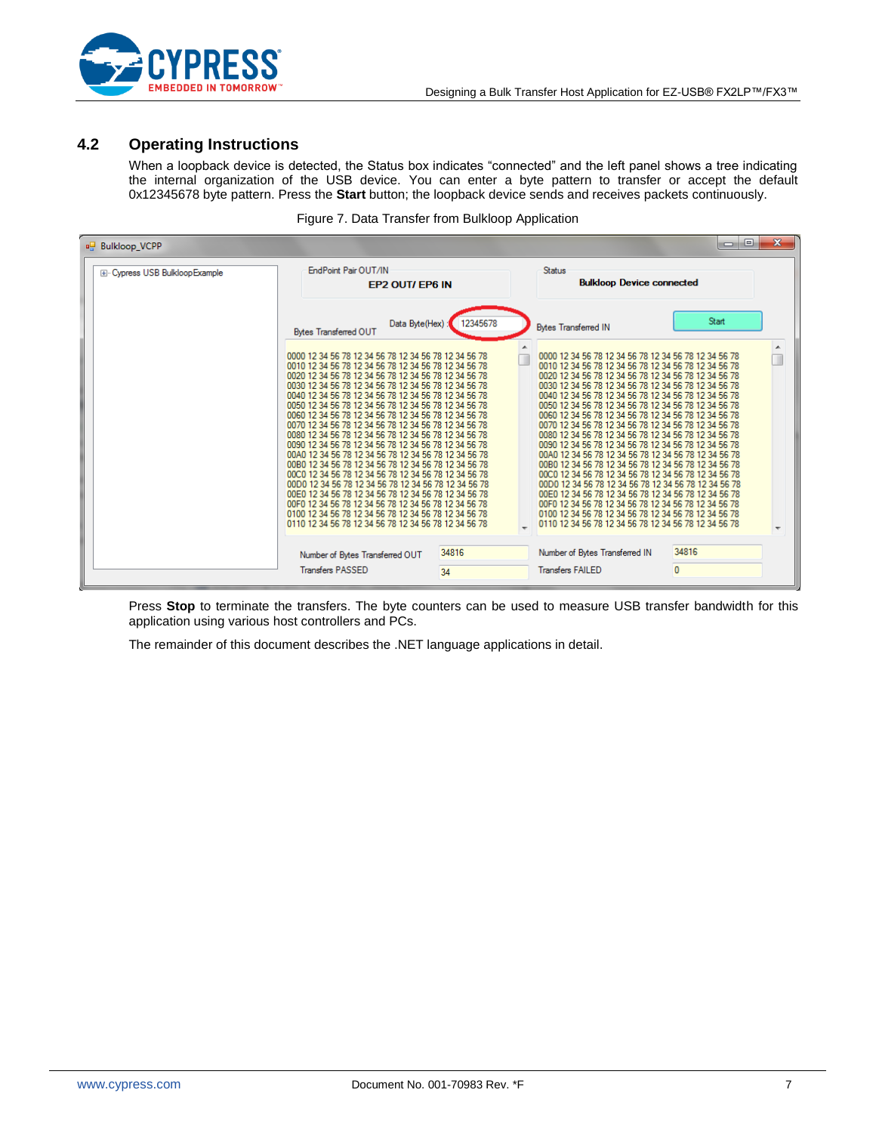

### <span id="page-6-0"></span>**4.2 Operating Instructions**

When a loopback device is detected, the Status box indicates "connected" and the left panel shows a tree indicating the internal organization of the USB device. You can enter a byte pattern to transfer or accept the default 0x12345678 byte pattern. Press the **Start** button; the loopback device sends and receives packets continuously.

| Figure 7. Data Transfer from Bulkloop Application |  |
|---------------------------------------------------|--|
|---------------------------------------------------|--|

| <b>Bulkloop_VCPP</b>          |                                                                                                                                                                                                                                                                                                                                                                                                                                                                                                                                                                                                                                      |          |                                                                                                                                                                                                                                                                                                                                                                                                                                                                                                                                                                                                                                      | $\mathbf{x}$<br>$\Box$<br><b>ISSUED</b> |
|-------------------------------|--------------------------------------------------------------------------------------------------------------------------------------------------------------------------------------------------------------------------------------------------------------------------------------------------------------------------------------------------------------------------------------------------------------------------------------------------------------------------------------------------------------------------------------------------------------------------------------------------------------------------------------|----------|--------------------------------------------------------------------------------------------------------------------------------------------------------------------------------------------------------------------------------------------------------------------------------------------------------------------------------------------------------------------------------------------------------------------------------------------------------------------------------------------------------------------------------------------------------------------------------------------------------------------------------------|-----------------------------------------|
| E-Cypress USB BulkloopExample | EndPoint Pair OUT/IN<br>EP2 OUT/ EP6 IN                                                                                                                                                                                                                                                                                                                                                                                                                                                                                                                                                                                              |          | <b>Status</b><br><b>Bulkloop Device connected</b>                                                                                                                                                                                                                                                                                                                                                                                                                                                                                                                                                                                    |                                         |
|                               | Data Byte(Hex)<br><b>Bytes Transferred OUT</b>                                                                                                                                                                                                                                                                                                                                                                                                                                                                                                                                                                                       | 12345678 | <b>Bytes Transferred IN</b>                                                                                                                                                                                                                                                                                                                                                                                                                                                                                                                                                                                                          | Start                                   |
|                               | 0000 12 34 56 78 12 34 56 78 12 34 56 78 12 34 56 78<br>0010 12 34 56 78 12 34 56 78 12 34 56 78 12 34 56 78<br>0020 12 34 56 78 12 34 56 78 12 34 56 78 12 34 56 78<br>0030 12 34 56 78 12 34 56 78 12 34 56 78 12 34 56 78<br>0040 12 34 56 78 12 34 56 78 12 34 56 78 12 34 56 78<br>0050 12 34 56 78 12 34 56 78 12 34 56 78 12 34 56 78<br>0060 12 34 56 78 12 34 56 78 12 34 56 78 12 34 56 78<br>0070 12 34 56 78 12 34 56 78 12 34 56 78 12 34 56 78<br>0080 12 34 56 78 12 34 56 78 12 34 56 78 12 34 56 78<br>0090 12 34 56 78 12 34 56 78 12 34 56 78 12 34 56 78<br>00A0 12 34 56 78 12 34 56 78 12 34 56 78 12 34 56 78 |          | 0000 12 34 56 78 12 34 56 78 12 34 56 78 12 34 56 78<br>0010 12 34 56 78 12 34 56 78 12 34 56 78 12 34 56 78<br>0020 12 34 56 78 12 34 56 78 12 34 56 78 12 34 56 78<br>0030 12 34 56 78 12 34 56 78 12 34 56 78 12 34 56 78<br>0040 12 34 56 78 12 34 56 78 12 34 56 78 12 34 56 78<br>0050 12 34 56 78 12 34 56 78 12 34 56 78 12 34 56 78<br>0060 12 34 56 78 12 34 56 78 12 34 56 78 12 34 56 77<br>0070 12 34 56 78 12 34 56 78 12 34 56 78 12 34 56 78<br>0080 12 34 56 78 12 34 56 78 12 34 56 78 12 34 56 78<br>0090 12 34 56 78 12 34 56 78 12 34 56 78 12 34 56 78<br>00A0 12 34 56 78 12 34 56 78 12 34 56 78 12 34 56 78 | $\blacktriangle$                        |
|                               | 00B0 12 34 56 78 12 34 56 78 12 34 56 78 12 34 56 78<br>00C0 12 34 56 78 12 34 56 78 12 34 56 78 12 34 56 78<br>00D0 12 34 56 78 12 34 56 78 12 34 56 78 12 34 56 77 12 34 56 78<br>00E0 12 34 56 78 12 34 56 78 12 34 56 78 12 34 56 78<br>00F0 12 34 56 78 12 34 56 78 12 34 56 78 12 34 56 78<br>0100 12 34 56 78 12 34 56 78 12 34 56 78 12 34 56 78<br>0110 12 34 56 78 12 34 56 78 12 34 56 78 12 34 56 778<br>Number of Bytes Transferred OUT                                                                                                                                                                                 | 34816    | 00B0 12 34 56 78 12 34 56 78 12 34 56 78 12 34 56 78<br>00C0 12 34 56 78 12 34 56 78 12 34 56 78 12 34 56 78<br>00D0 12 34 56 78 12 34 56 78 12 34 56 78 12 34 56 778<br>00E0 12 34 56 78 12 34 56 78 12 34 56 78 12 34 56 78<br>00F0 12 34 56 78 12 34 56 78 12 34 56 78 12 34 56 78<br>0100 12 34 56 78 12 34 56 78 12 34 56 78 12 34 56 78<br>0110 12 34 56 78 12 34 56 78 12 34 56 78 12 34 56 78<br>Number of Bytes Transferred IN                                                                                                                                                                                              | 34816                                   |
|                               | <b>Transfers PASSED</b>                                                                                                                                                                                                                                                                                                                                                                                                                                                                                                                                                                                                              | 34       | <b>Transfers FAILED</b>                                                                                                                                                                                                                                                                                                                                                                                                                                                                                                                                                                                                              | $\overline{0}$                          |

Press **Stop** to terminate the transfers. The byte counters can be used to measure USB transfer bandwidth for this application using various host controllers and PCs.

The remainder of this document describes the .NET language applications in detail.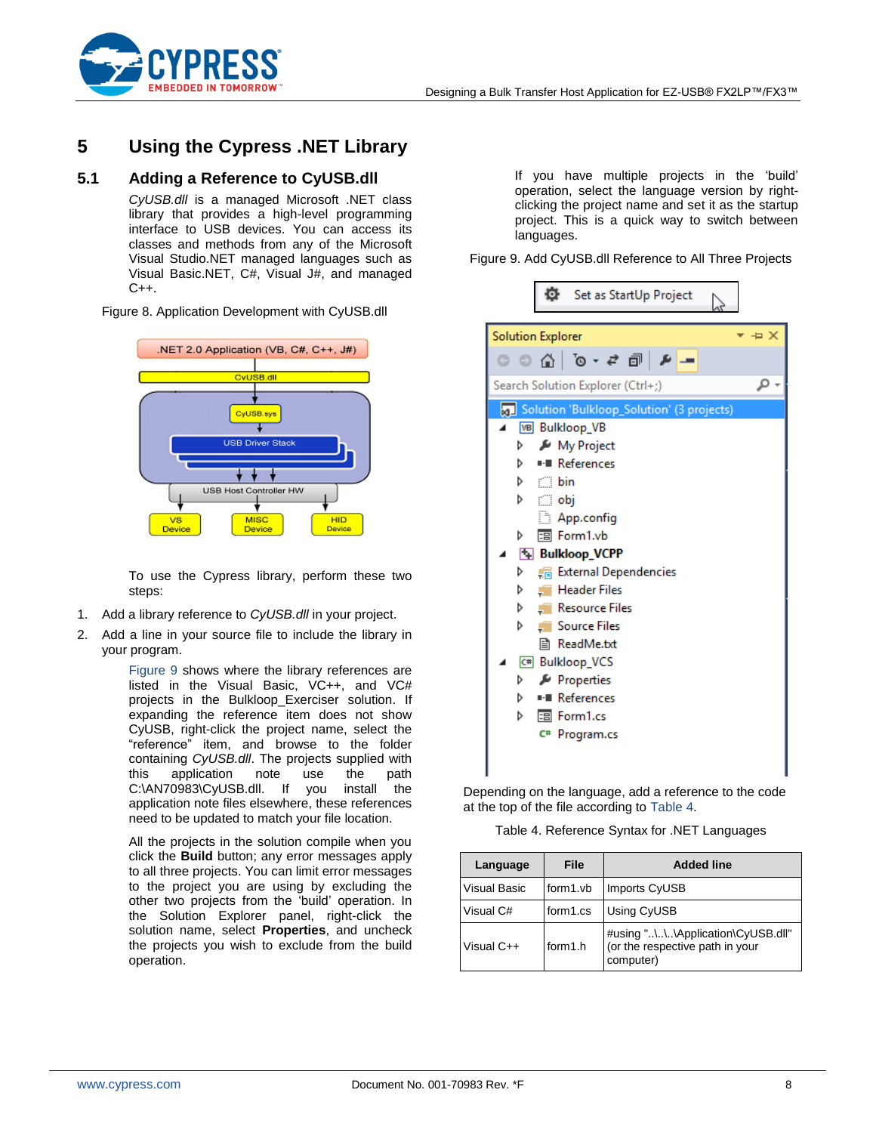

## <span id="page-7-0"></span>**5 Using the Cypress .NET Library**

### <span id="page-7-1"></span>**5.1 Adding a Reference to CyUSB.dll**

*CyUSB.dll* is a managed Microsoft .NET class library that provides a high-level programming interface to USB devices. You can access its classes and methods from any of the Microsoft Visual Studio.NET managed languages such as Visual Basic.NET, C#, Visual J#, and managed  $C++$ .

Figure 8. Application Development with CyUSB.dll



To use the Cypress library, perform these two steps:

- 1. Add a library reference to *CyUSB.dll* in your project.
- 2. Add a line in your source file to include the library in your program.

[Figure 9](#page-7-2) shows where the library references are listed in the Visual Basic, VC++, and VC# projects in the Bulkloop\_Exerciser solution. If expanding the reference item does not show CyUSB, right-click the project name, select the "reference" item, and browse to the folder containing *CyUSB.dll*. The projects supplied with this application note use the path C:\AN70983\CyUSB.dll. If you install the application note files elsewhere, these references need to be updated to match your file location.

All the projects in the solution compile when you click the **Build** button; any error messages apply to all three projects. You can limit error messages to the project you are using by excluding the other two projects from the "build" operation. In the Solution Explorer panel, right-click the solution name, select **Properties**, and uncheck the projects you wish to exclude from the build operation.

If you have multiple projects in the "build" operation, select the language version by rightclicking the project name and set it as the startup project. This is a quick way to switch between languages.

<span id="page-7-2"></span>Figure 9. Add CyUSB.dll Reference to All Three Projects

| o<br>Set as StartUp Project                                 |
|-------------------------------------------------------------|
| $\overline{X}$ + $\overline{X}$<br><b>Solution Explorer</b> |
| $\mathcal{L}$                                               |
| Search Solution Explorer (Ctrl+;)                           |
| Solution 'Bulkloop_Solution' (3 projects)                   |
| <b>VB</b> Bulkloop VB                                       |
| My Project<br>D                                             |
| <b>I-B</b> References<br>d                                  |
| ▷ C bin                                                     |
| ▷ ⊡obj                                                      |
| App.config                                                  |
| 国 Form1.vb<br>D                                             |
| <b>Ex Bulkloop_VCPP</b>                                     |
| <b>External Dependencies</b><br>d                           |
| <b>Header Files</b><br>▷<br>EП                              |
| <b>Resource Files</b><br>▷                                  |
| <b>Source Files</b><br>d<br>ET.                             |
| <b>■ ReadMe.txt</b>                                         |
| C# Bulkloop_VCS                                             |
| Properties<br>d                                             |
| ■ References<br>⊳                                           |
| 国 Form1.cs<br>d                                             |
| C#<br>Program.cs                                            |
|                                                             |
|                                                             |

Depending on the language, add a reference to the code at the top of the file according t[o Table 4.](#page-7-3)

Table 4. Reference Syntax for .NET Languages

<span id="page-7-3"></span>

| Language            | File     | <b>Added line</b>                                                                  |
|---------------------|----------|------------------------------------------------------------------------------------|
| <b>Visual Basic</b> | form1.vb | <b>Imports CyUSB</b>                                                               |
| Visual C#           | form1.cs | Using CyUSB                                                                        |
| Visual C++          | form1.h  | #using "\\.\Application\CyUSB.dll"<br>(or the respective path in your<br>computer) |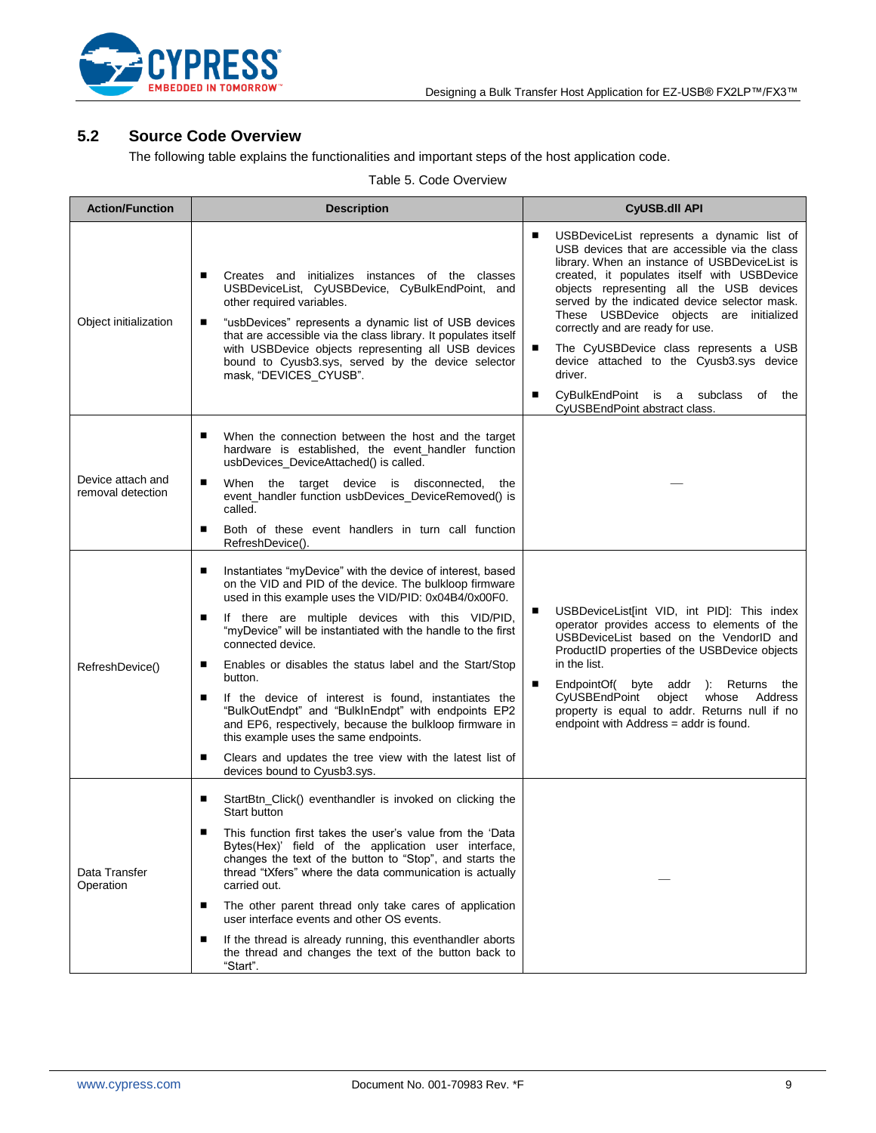

### <span id="page-8-0"></span>**5.2 Source Code Overview**

The following table explains the functionalities and important steps of the host application code.

#### Table 5. Code Overview

| <b>Action/Function</b>                 | <b>Description</b>                                                                                                                                                                                                                                                                                                                                                                                                                                                                                                                                                                                                                                                                                                                    | <b>CyUSB.dll API</b>                                                                                                                                                                                                                                                                                                                                                                                                                                                                                                                                            |
|----------------------------------------|---------------------------------------------------------------------------------------------------------------------------------------------------------------------------------------------------------------------------------------------------------------------------------------------------------------------------------------------------------------------------------------------------------------------------------------------------------------------------------------------------------------------------------------------------------------------------------------------------------------------------------------------------------------------------------------------------------------------------------------|-----------------------------------------------------------------------------------------------------------------------------------------------------------------------------------------------------------------------------------------------------------------------------------------------------------------------------------------------------------------------------------------------------------------------------------------------------------------------------------------------------------------------------------------------------------------|
| Object initialization                  | Creates and initializes instances of the classes<br>USBDeviceList, CyUSBDevice, CyBulkEndPoint, and<br>other required variables.<br>"usbDevices" represents a dynamic list of USB devices<br>п<br>that are accessible via the class library. It populates itself<br>with USBDevice objects representing all USB devices<br>bound to Cyusb3.sys, served by the device selector<br>mask, "DEVICES CYUSB".                                                                                                                                                                                                                                                                                                                               | USBDeviceList represents a dynamic list of<br>■<br>USB devices that are accessible via the class<br>library. When an instance of USBDeviceList is<br>created, it populates itself with USBDevice<br>objects representing all the USB devices<br>served by the indicated device selector mask.<br>These USBDevice objects are initialized<br>correctly and are ready for use.<br>The CyUSBDevice class represents a USB<br>п<br>device attached to the Cyusb3.sys device<br>driver.<br>CyBulkEndPoint is a subclass of the<br>■<br>CyUSBEndPoint abstract class. |
| Device attach and<br>removal detection | When the connection between the host and the target<br>п<br>hardware is established, the event_handler function<br>usbDevices_DeviceAttached() is called.<br>When the target device is disconnected, the<br>п<br>event_handler function usbDevices_DeviceRemoved() is<br>called.<br>Both of these event handlers in turn call function<br>■<br>RefreshDevice().                                                                                                                                                                                                                                                                                                                                                                       |                                                                                                                                                                                                                                                                                                                                                                                                                                                                                                                                                                 |
| RefreshDevice()                        | Instantiates "myDevice" with the device of interest, based<br>п<br>on the VID and PID of the device. The bulkloop firmware<br>used in this example uses the VID/PID: 0x04B4/0x00F0.<br>If there are multiple devices with this VID/PID,<br>п<br>"myDevice" will be instantiated with the handle to the first<br>connected device.<br>п<br>Enables or disables the status label and the Start/Stop<br>button.<br>п<br>If the device of interest is found, instantiates the<br>"BulkOutEndpt" and "BulkInEndpt" with endpoints EP2<br>and EP6, respectively, because the bulkloop firmware in<br>this example uses the same endpoints.<br>Clears and updates the tree view with the latest list of<br>п<br>devices bound to Cyusb3.sys. | USBDeviceList[int VID, int PID]: This index<br>■<br>operator provides access to elements of the<br>USBDeviceList based on the VendorID and<br>ProductID properties of the USBDevice objects<br>in the list.<br>■<br>EndpointOf( byte addr ): Returns the<br>CyUSBEndPoint object whose Address<br>property is equal to addr. Returns null if no<br>endpoint with Address = addr is found.                                                                                                                                                                       |
| Data Transfer<br>Operation             | StartBtn_Click() eventhandler is invoked on clicking the<br>■<br>Start button<br>This function first takes the user's value from the 'Data<br>■<br>Bytes(Hex)' field of the application user interface,<br>changes the text of the button to "Stop", and starts the<br>thread "tXfers" where the data communication is actually<br>carried out.<br>The other parent thread only take cares of application<br>п<br>user interface events and other OS events.<br>If the thread is already running, this eventhandler aborts<br>п<br>the thread and changes the text of the button back to<br>"Start".                                                                                                                                  |                                                                                                                                                                                                                                                                                                                                                                                                                                                                                                                                                                 |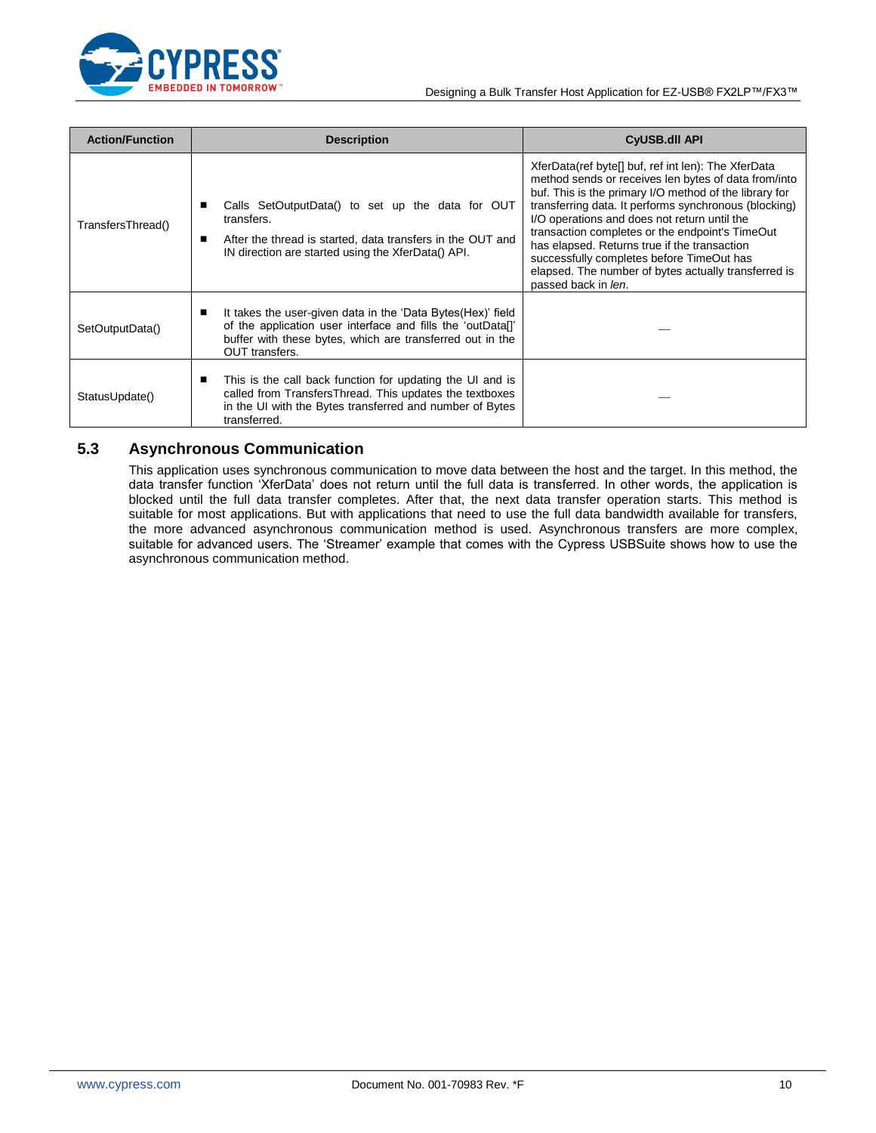

| <b>Action/Function</b> | <b>Description</b>                                                                                                                                                                                             | <b>CyUSB.dll API</b>                                                                                                                                                                                                                                                                                                                                                                                                                                                                                          |
|------------------------|----------------------------------------------------------------------------------------------------------------------------------------------------------------------------------------------------------------|---------------------------------------------------------------------------------------------------------------------------------------------------------------------------------------------------------------------------------------------------------------------------------------------------------------------------------------------------------------------------------------------------------------------------------------------------------------------------------------------------------------|
| TransfersThread()      | Calls SetOutputData() to set up the data for OUT<br>transfers.<br>After the thread is started, data transfers in the OUT and<br>ш<br>IN direction are started using the XferData() API.                        | XferData(ref byte[] buf, ref int len): The XferData<br>method sends or receives len bytes of data from/into<br>buf. This is the primary I/O method of the library for<br>transferring data. It performs synchronous (blocking)<br>I/O operations and does not return until the<br>transaction completes or the endpoint's TimeOut<br>has elapsed. Returns true if the transaction<br>successfully completes before TimeOut has<br>elapsed. The number of bytes actually transferred is<br>passed back in len. |
| SetOutputData()        | It takes the user-given data in the 'Data Bytes(Hex)' field<br>п<br>of the application user interface and fills the 'outData[]'<br>buffer with these bytes, which are transferred out in the<br>OUT transfers. |                                                                                                                                                                                                                                                                                                                                                                                                                                                                                                               |
| StatusUpdate()         | This is the call back function for updating the UI and is<br>п<br>called from TransfersThread. This updates the textboxes<br>in the UI with the Bytes transferred and number of Bytes<br>transferred.          |                                                                                                                                                                                                                                                                                                                                                                                                                                                                                                               |

### <span id="page-9-0"></span>**5.3 Asynchronous Communication**

This application uses synchronous communication to move data between the host and the target. In this method, the data transfer function "XferData" does not return until the full data is transferred. In other words, the application is blocked until the full data transfer completes. After that, the next data transfer operation starts. This method is suitable for most applications. But with applications that need to use the full data bandwidth available for transfers, the more advanced asynchronous communication method is used. Asynchronous transfers are more complex, suitable for advanced users. The "Streamer" example that comes with the Cypress USBSuite shows how to use the asynchronous communication method.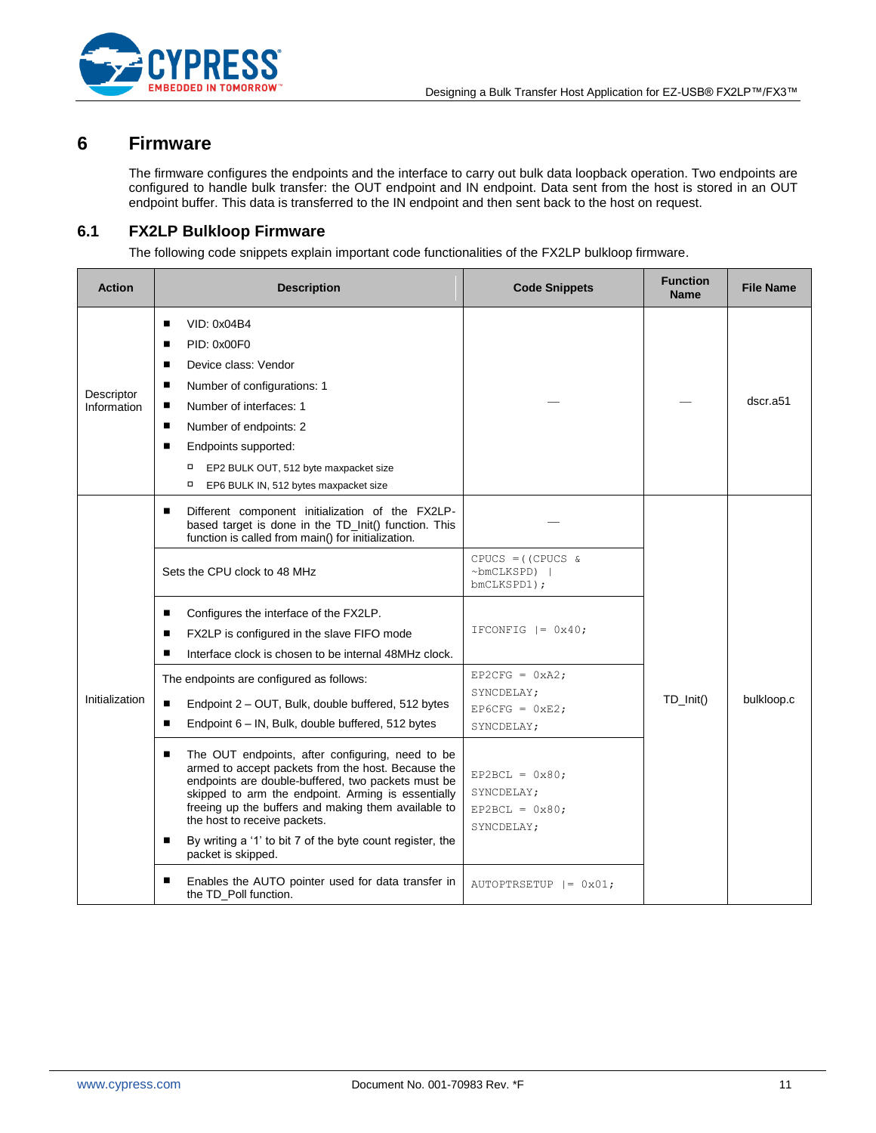

### <span id="page-10-0"></span>**6 Firmware**

The firmware configures the endpoints and the interface to carry out bulk data loopback operation. Two endpoints are configured to handle bulk transfer: the OUT endpoint and IN endpoint. Data sent from the host is stored in an OUT endpoint buffer. This data is transferred to the IN endpoint and then sent back to the host on request.

### <span id="page-10-1"></span>**6.1 FX2LP Bulkloop Firmware**

The following code snippets explain important code functionalities of the FX2LP bulkloop firmware.

| <b>Action</b>             | <b>Description</b>                                                                                                                                                                                                                                                                                                                                                                                     | <b>Code Snippets</b>                                                     | <b>Function</b><br><b>Name</b> | <b>File Name</b> |
|---------------------------|--------------------------------------------------------------------------------------------------------------------------------------------------------------------------------------------------------------------------------------------------------------------------------------------------------------------------------------------------------------------------------------------------------|--------------------------------------------------------------------------|--------------------------------|------------------|
| Descriptor<br>Information | VID: 0x04B4<br>■<br>PID: 0x00F0<br>■<br>Device class: Vendor<br>п<br>Number of configurations: 1<br>■<br>Number of interfaces: 1<br>■<br>Number of endpoints: 2<br>Endpoints supported:<br>■<br>EP2 BULK OUT, 512 byte maxpacket size<br>□<br>о<br>EP6 BULK IN, 512 bytes maxpacket size                                                                                                               |                                                                          |                                | dscr.a51         |
| Initialization            | Different component initialization of the FX2LP-<br>п<br>based target is done in the TD_Init() function. This<br>function is called from main() for initialization.<br>Sets the CPU clock to 48 MHz                                                                                                                                                                                                    | $CPUCS = (CPUCS &$<br>$~\sim$ bmCLKSPD)  <br>bmCLKSPD1);                 |                                |                  |
|                           | Configures the interface of the FX2LP.<br>п<br>FX2LP is configured in the slave FIFO mode<br>■<br>Interface clock is chosen to be internal 48MHz clock.                                                                                                                                                                                                                                                | IFCONFIG $ = 0x40$ ;                                                     |                                |                  |
|                           | The endpoints are configured as follows:<br>Endpoint 2 - OUT, Bulk, double buffered, 512 bytes<br>■<br>Endpoint 6 - IN, Bulk, double buffered, 512 bytes<br>п                                                                                                                                                                                                                                          | EP2CFG = $0xA2;$<br>SYNCDELAY;<br>EP6CFG = $0 \times E2$ ;<br>SYNCDELAY; | $TD_$ lnit()                   | bulkloop.c       |
|                           | The OUT endpoints, after configuring, need to be<br>■<br>armed to accept packets from the host. Because the<br>endpoints are double-buffered, two packets must be<br>skipped to arm the endpoint. Arming is essentially<br>freeing up the buffers and making them available to<br>the host to receive packets.<br>By writing a '1' to bit 7 of the byte count register, the<br>■<br>packet is skipped. | $EP2BCL = 0x80;$<br>SYNCDELAY;<br>$EP2BCL = 0x80;$<br>SYNCDELAY;         |                                |                  |
|                           | Enables the AUTO pointer used for data transfer in<br>п<br>the TD_Poll function.                                                                                                                                                                                                                                                                                                                       | AUTOPTRSETUP $ = 0x01;$                                                  |                                |                  |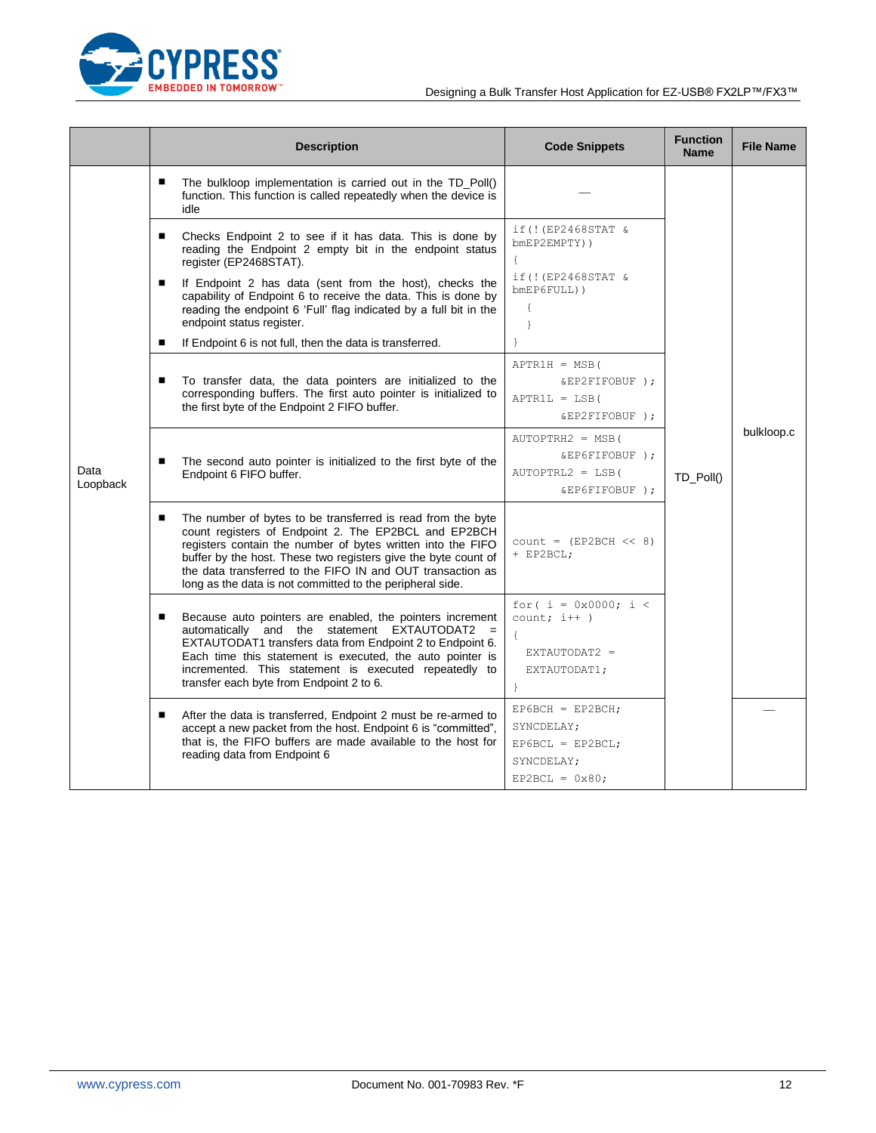

|                  | <b>Description</b>                                                                                                                                                                                                                                                                                                                                                                   | <b>Code Snippets</b>                                                                      | <b>Function</b><br><b>Name</b> | <b>File Name</b> |
|------------------|--------------------------------------------------------------------------------------------------------------------------------------------------------------------------------------------------------------------------------------------------------------------------------------------------------------------------------------------------------------------------------------|-------------------------------------------------------------------------------------------|--------------------------------|------------------|
|                  | ٠<br>The bulkloop implementation is carried out in the TD_Poll()<br>function. This function is called repeatedly when the device is<br>idle                                                                                                                                                                                                                                          |                                                                                           |                                |                  |
|                  | Checks Endpoint 2 to see if it has data. This is done by<br>٠<br>reading the Endpoint 2 empty bit in the endpoint status<br>register (EP2468STAT).                                                                                                                                                                                                                                   | if (! (EP2468STAT &<br>bmEP2EMPTY))<br>$\left\{ \right.$                                  |                                |                  |
|                  | If Endpoint 2 has data (sent from the host), checks the<br>capability of Endpoint 6 to receive the data. This is done by<br>reading the endpoint 6 'Full' flag indicated by a full bit in the<br>endpoint status register.                                                                                                                                                           | if (! (EP2468STAT &<br>$b$ mEP6FULL $)$ )<br>$\{$<br>$\mathcal{E}$                        |                                |                  |
|                  | If Endpoint 6 is not full, then the data is transferred.<br>п                                                                                                                                                                                                                                                                                                                        | $\mathcal{E}$                                                                             |                                |                  |
| Data<br>Loopback | To transfer data, the data pointers are initialized to the<br>п<br>corresponding buffers. The first auto pointer is initialized to<br>the first byte of the Endpoint 2 FIFO buffer.                                                                                                                                                                                                  | $APTR1H = MSB$ (<br>&EP2FIFOBUF );<br>$APTR1L = LSB($<br>&EP2FIFOBUF);                    |                                |                  |
|                  | The second auto pointer is initialized to the first byte of the<br>п<br>Endpoint 6 FIFO buffer.                                                                                                                                                                                                                                                                                      | $AUTOPTRH2 = MSB$ (<br>&EP6FIFOBUF);<br>$AUTOPTRL2 = LSB($<br>&EP6FIFOBUF );              | TD_Poll()                      | bulkloop.c       |
|                  | The number of bytes to be transferred is read from the byte<br>п<br>count registers of Endpoint 2. The EP2BCL and EP2BCH<br>registers contain the number of bytes written into the FIFO<br>buffer by the host. These two registers give the byte count of<br>the data transferred to the FIFO IN and OUT transaction as<br>long as the data is not committed to the peripheral side. | $count = (EP2BCH << 8)$<br>+ EP2BCL;                                                      |                                |                  |
|                  | Because auto pointers are enabled, the pointers increment<br>п<br>automatically and the statement EXTAUTODAT2<br>EXTAUTODAT1 transfers data from Endpoint 2 to Endpoint 6.<br>Each time this statement is executed, the auto pointer is<br>incremented. This statement is executed repeatedly to<br>transfer each byte from Endpoint 2 to 6.                                         | for( $i = 0x0000; i <$<br>$count; i++)$<br>EXTAUTODAT2 =<br>EXTAUTODAT1;                  |                                |                  |
|                  | After the data is transferred, Endpoint 2 must be re-armed to<br>п<br>accept a new packet from the host. Endpoint 6 is "committed",<br>that is, the FIFO buffers are made available to the host for<br>reading data from Endpoint 6                                                                                                                                                  | $EP6BCH = EP2BCH$ ;<br>SYNCDELAY;<br>$EP6BCL = EP2BCL;$<br>SYNCDELAY;<br>$EP2BCL = 0x80;$ |                                |                  |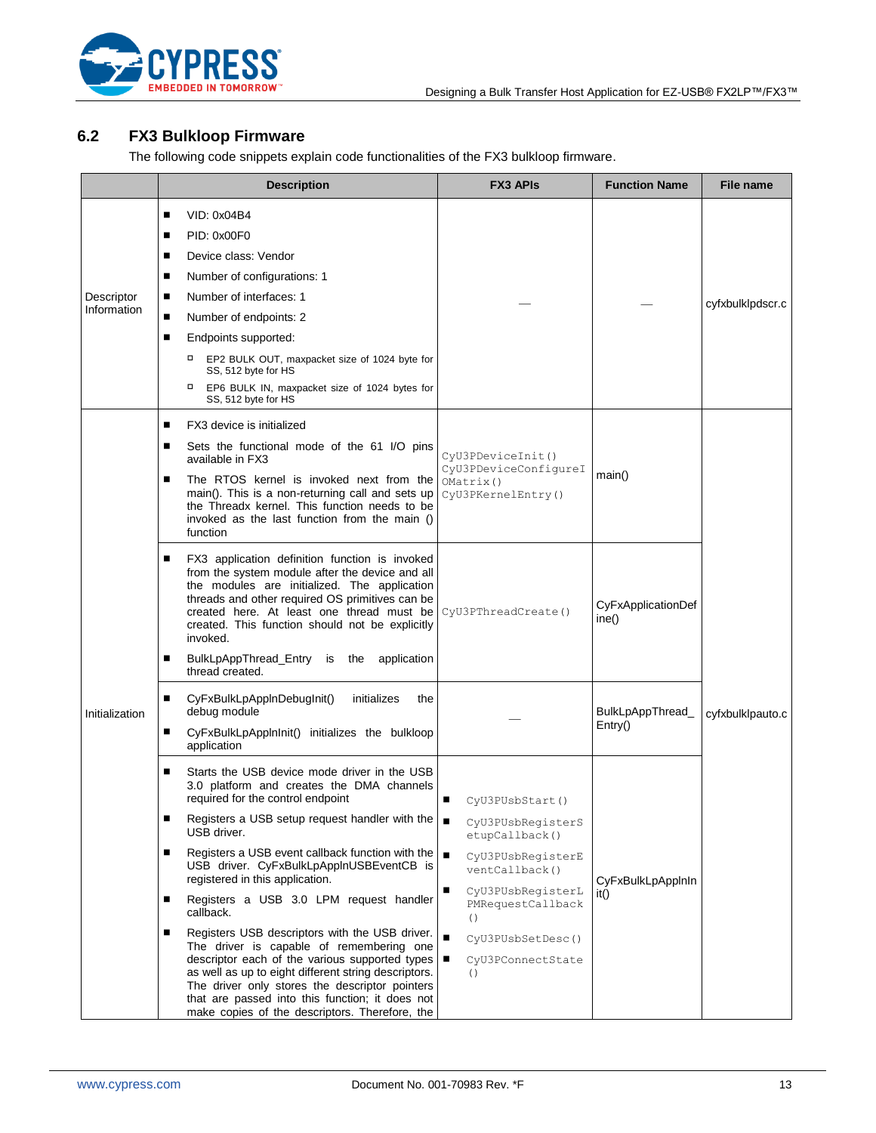

## <span id="page-12-0"></span>**6.2 FX3 Bulkloop Firmware**

The following code snippets explain code functionalities of the FX3 bulkloop firmware.

|                           | <b>Description</b>                                                                                                                                                                                                                                                                                                                                                                                                                                                                                                                                                                                                                                                                                                                                                                                          | <b>FX3 APIS</b>                                                                                                                                                                                                                               | <b>Function Name</b>        | <b>File name</b> |
|---------------------------|-------------------------------------------------------------------------------------------------------------------------------------------------------------------------------------------------------------------------------------------------------------------------------------------------------------------------------------------------------------------------------------------------------------------------------------------------------------------------------------------------------------------------------------------------------------------------------------------------------------------------------------------------------------------------------------------------------------------------------------------------------------------------------------------------------------|-----------------------------------------------------------------------------------------------------------------------------------------------------------------------------------------------------------------------------------------------|-----------------------------|------------------|
| Descriptor<br>Information | VID: 0x04B4<br>п<br>PID: 0x00F0<br>■<br>Device class: Vendor<br>■<br>Number of configurations: 1<br>■<br>Number of interfaces: 1<br>п<br>п<br>Number of endpoints: 2<br>Endpoints supported:<br>п<br>EP2 BULK OUT, maxpacket size of 1024 byte for<br>SS, 512 byte for HS<br>о<br>EP6 BULK IN, maxpacket size of 1024 bytes for<br>SS, 512 byte for HS                                                                                                                                                                                                                                                                                                                                                                                                                                                      |                                                                                                                                                                                                                                               |                             | cyfxbulklpdscr.c |
|                           | FX3 device is initialized<br>■<br>Sets the functional mode of the 61 I/O pins<br>п<br>available in FX3<br>The RTOS kernel is invoked next from the<br>■<br>main(). This is a non-returning call and sets up<br>the Threadx kernel. This function needs to be<br>invoked as the last function from the main ()<br>function                                                                                                                                                                                                                                                                                                                                                                                                                                                                                   | CyU3PDeviceInit()<br>CyU3PDeviceConfigureI<br>OMatrix()<br>CyU3PKernelEntry()                                                                                                                                                                 | main()                      |                  |
|                           | FX3 application definition function is invoked<br>п<br>from the system module after the device and all<br>the modules are initialized. The application<br>threads and other required OS primitives can be<br>created here. At least one thread must be<br>created. This function should not be explicitly<br>invoked.<br>BulkLpAppThread_Entry is the application<br>П<br>thread created.                                                                                                                                                                                                                                                                                                                                                                                                                   | CyU3PThreadCreate()                                                                                                                                                                                                                           | CyFxApplicationDef<br>ine() |                  |
| Initialization            | CyFxBulkLpAppInDebugInit()<br>initializes<br>п<br>the<br>debug module<br>CyFxBulkLpAppInInit() initializes the bulkloop<br>п<br>application                                                                                                                                                                                                                                                                                                                                                                                                                                                                                                                                                                                                                                                                 |                                                                                                                                                                                                                                               | BulkLpAppThread_<br>Entry() | cyfxbulklpauto.c |
|                           | Starts the USB device mode driver in the USB<br>3.0 platform and creates the DMA channels<br>required for the control endpoint<br>Registers a USB setup request handler with the $\blacksquare$<br>п<br>USB driver.<br>Registers a USB event callback function with the<br>п<br>USB driver. CyFxBulkLpAppInUSBEventCB is<br>registered in this application.<br>Registers a USB 3.0 LPM request handler<br>п<br>callback.<br>Registers USB descriptors with the USB driver.<br>п<br>The driver is capable of remembering one<br>descriptor each of the various supported types $\blacksquare$<br>as well as up to eight different string descriptors.<br>The driver only stores the descriptor pointers<br>that are passed into this function; it does not<br>make copies of the descriptors. Therefore, the | п<br>CyU3PUsbStart()<br>CyU3PUsbRegisterS<br>etupCallback()<br>$\blacksquare$<br>CyU3PUsbRegisterE<br>ventCallback()<br>п<br>CyU3PUsbRegisterL<br>PMRequestCallback<br>( )<br>$\blacksquare$<br>CyU3PUsbSetDesc()<br>CyU3PConnectState<br>( ) | CyFxBulkLpAppInIn<br>it()   |                  |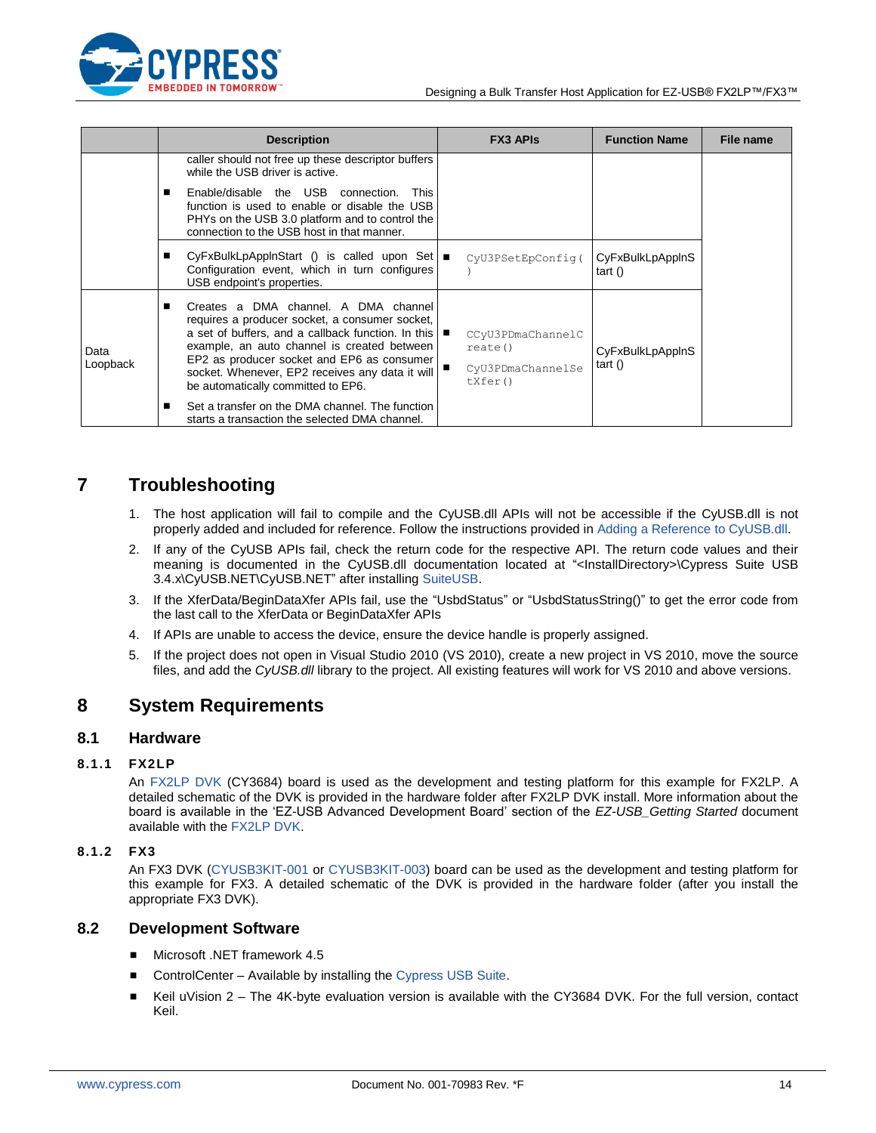

|                  | <b>Description</b> |                                                                                                                                                                                                                                                                                                                                                   |  | <b>FX3 APIS</b>                                             | <b>Function Name</b>          | File name |
|------------------|--------------------|---------------------------------------------------------------------------------------------------------------------------------------------------------------------------------------------------------------------------------------------------------------------------------------------------------------------------------------------------|--|-------------------------------------------------------------|-------------------------------|-----------|
|                  |                    | caller should not free up these descriptor buffers<br>while the USB driver is active.                                                                                                                                                                                                                                                             |  |                                                             |                               |           |
|                  |                    | Enable/disable the USB connection.<br><b>This</b><br>function is used to enable or disable the USB<br>PHYs on the USB 3.0 platform and to control the<br>connection to the USB host in that manner.                                                                                                                                               |  |                                                             |                               |           |
|                  |                    | CyFxBulkLpApplnStart () is called upon Set  ■<br>Configuration event, which in turn configures<br>USB endpoint's properties.                                                                                                                                                                                                                      |  | CyU3PSetEpConfig(                                           | CyFxBulkLpAppInS<br>tart()    |           |
| Data<br>Loopback |                    | Creates a DMA channel. A DMA channel<br>requires a producer socket, a consumer socket,<br>a set of buffers, and a callback function. In this $\blacksquare$<br>example, an auto channel is created between<br>EP2 as producer socket and EP6 as consumer<br>socket. Whenever, EP2 receives any data it will<br>be automatically committed to EP6. |  | CCyU3PDmaChannelC<br>rate()<br>CyU3PDmaChannelSe<br>txfer() | CyFxBulkLpAppInS<br>tart $()$ |           |
|                  |                    | Set a transfer on the DMA channel. The function<br>starts a transaction the selected DMA channel.                                                                                                                                                                                                                                                 |  |                                                             |                               |           |

## <span id="page-13-0"></span>**7 Troubleshooting**

- 1. The host application will fail to compile and the CyUSB.dll APIs will not be accessible if the CyUSB.dll is not properly added and included for reference. Follow the instructions provided i[n Adding a Reference](#page-7-1) to CyUSB.dll.
- 2. If any of the CyUSB APIs fail, check the return code for the respective API. The return code values and their meaning is documented in the CyUSB.dll documentation located at "<InstallDirectory>\Cypress Suite USB 3.4.x\CyUSB.NET\CyUSB.NET" after installing [SuiteUSB.](http://www.cypress.com/documentation/software-and-drivers/suiteusb-34-usb-development-tools-visual-studio?source=search&keywords=suiteusb)
- 3. If the XferData/BeginDataXfer APIs fail, use the "UsbdStatus" or "UsbdStatusString()" to get the error code from the last call to the XferData or BeginDataXfer APIs
- 4. If APIs are unable to access the device, ensure the device handle is properly assigned.
- 5. If the project does not open in Visual Studio 2010 (VS 2010), create a new project in VS 2010, move the source files, and add the *CyUSB.dll* library to the project. All existing features will work for VS 2010 and above versions.

### <span id="page-13-1"></span>**8 System Requirements**

#### <span id="page-13-2"></span>**8.1 Hardware**

#### **8.1.1 FX2LP**

An [FX2LP DVK](http://www.cypress.com/?rID=14321) (CY3684) board is used as the development and testing platform for this example for FX2LP. A detailed schematic of the DVK is provided in the hardware folder after FX2LP DVK install. More information about the board is available in the "EZ-USB Advanced Development Board" section of the *EZ-USB\_Getting Started* document available with the [FX2LP DVK.](http://www.cypress.com/?rID=14321)

#### <span id="page-13-4"></span>**8.1.2 FX3**

An FX3 DVK [\(CYUSB3KIT-001](http://www.cypress.com/?rID=58321) or [CYUSB3KIT-003\)](http://www.cypress.com/?rID=99916) board can be used as the development and testing platform for this example for FX3. A detailed schematic of the DVK is provided in the hardware folder (after you install the appropriate FX3 DVK).

### <span id="page-13-3"></span>**8.2 Development Software**

- Microsoft .NET framework 4.5
- ControlCenter Available by installing the [Cypress USB Suite.](http://www.cypress.com/documentation/software-and-drivers/suiteusb-34-usb-development-tools-visual-studio?source=search&keywords=suiteusb)
- E Keil uVision  $2$  The 4K-byte evaluation version is available with the CY3684 DVK. For the full version, contact Keil.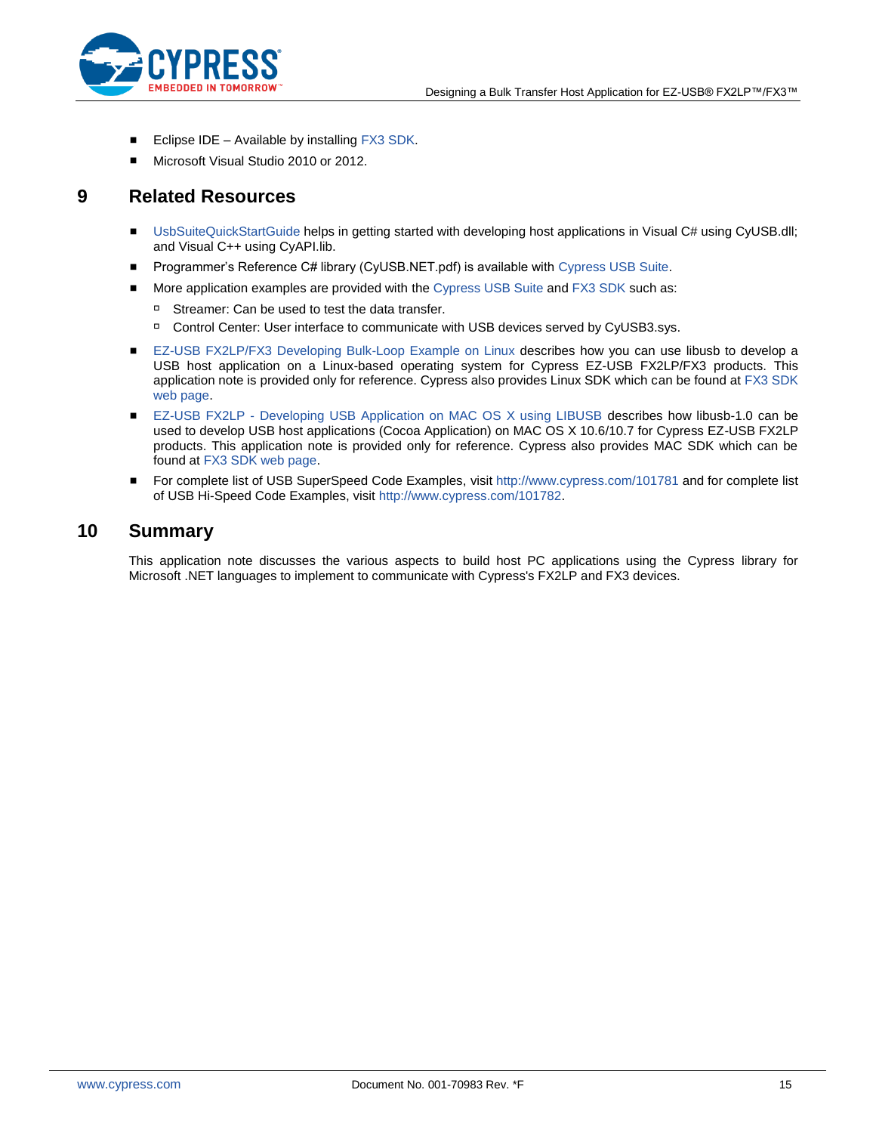

- Eclipse IDE Available by installing [FX3 SDK.](http://www.cypress.com/?rID=57990)
- Microsoft Visual Studio 2010 or 2012.

### <span id="page-14-0"></span>**9 Related Resources**

- [UsbSuiteQuickStartGuide](http://www.cypress.com/?rID=57990) helps in getting started with developing host applications in Visual C# using CyUSB.dll; and Visual C++ using CyAPI.lib.
- Programmer's Reference C# library (CyUSB.NET.pdf) is available with [Cypress USB Suite.](http://www.cypress.com/documentation/software-and-drivers/suiteusb-34-usb-development-tools-visual-studio?source=search&keywords=suiteusb)
- **More application examples are provided with the [Cypress USB Suite](http://www.cypress.com/documentation/software-and-drivers/suiteusb-34-usb-development-tools-visual-studio?source=search&keywords=suiteusb) and [FX3 SDK](http://www.cypress.com/documentation/software-and-drivers/ez-usb-fx3-software-development-kit) such as:** 
	- □ Streamer: Can be used to test the data transfer.
	- Control Center: User interface to communicate with USB devices served by CyUSB3.sys.
- [EZ-USB FX2LP/FX3 Developing Bulk-Loop Example on Linux](http://www.cypress.com/?rID=57610) describes how you can use libusb to develop a USB host application on a Linux-based operating system for Cypress EZ-USB FX2LP/FX3 products. This application note is provided only for reference. Cypress also provides Linux SDK which can be found a[t FX3 SDK](http://www.cypress.com/documentation/software-and-drivers/ez-usb-fx3-software-development-kit)  [web page.](http://www.cypress.com/documentation/software-and-drivers/ez-usb-fx3-software-development-kit)
- EZ-USB FX2LP [Developing USB Application on MAC OS X using LIBUSB](http://www.cypress.com/?rID=59674) describes how libusb-1.0 can be used to develop USB host applications (Cocoa Application) on MAC OS X 10.6/10.7 for Cypress EZ-USB FX2LP products. This application note is provided only for reference. Cypress also provides MAC SDK which can be found at [FX3 SDK web page.](http://www.cypress.com/documentation/software-and-drivers/ez-usb-fx3-software-development-kit)
- For complete list of USB SuperSpeed Code Examples, visit [http://www.cypress.com/101781](http://www.cypress.com/?rID=101781) and for complete list of USB Hi-Speed Code Examples, visit [http://www.cypress.com/101782.](http://www.cypress.com/?rID=101782)

### <span id="page-14-1"></span>**10 Summary**

This application note discusses the various aspects to build host PC applications using the Cypress library for Microsoft .NET languages to implement to communicate with Cypress's FX2LP and FX3 devices.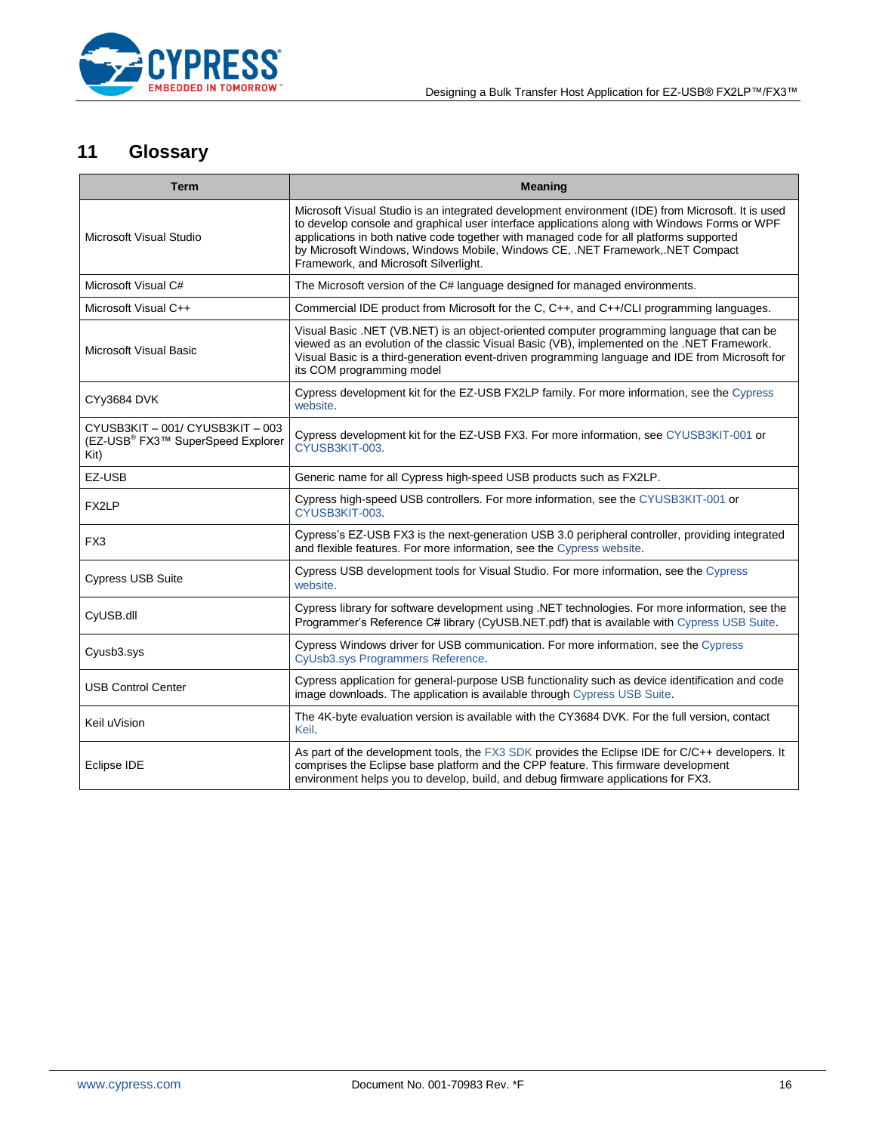

# <span id="page-15-0"></span>**11 Glossary**

<span id="page-15-1"></span>

| <b>Term</b>                                                                               | <b>Meaning</b>                                                                                                                                                                                                                                                                                                                                                                                                         |  |  |  |  |
|-------------------------------------------------------------------------------------------|------------------------------------------------------------------------------------------------------------------------------------------------------------------------------------------------------------------------------------------------------------------------------------------------------------------------------------------------------------------------------------------------------------------------|--|--|--|--|
| Microsoft Visual Studio                                                                   | Microsoft Visual Studio is an integrated development environment (IDE) from Microsoft. It is used<br>to develop console and graphical user interface applications along with Windows Forms or WPF<br>applications in both native code together with managed code for all platforms supported<br>by Microsoft Windows, Windows Mobile, Windows CE, .NET Framework,.NET Compact<br>Framework, and Microsoft Silverlight. |  |  |  |  |
| Microsoft Visual C#                                                                       | The Microsoft version of the C# language designed for managed environments.                                                                                                                                                                                                                                                                                                                                            |  |  |  |  |
| Microsoft Visual C++                                                                      | Commercial IDE product from Microsoft for the C, C++, and C++/CLI programming languages.                                                                                                                                                                                                                                                                                                                               |  |  |  |  |
| <b>Microsoft Visual Basic</b>                                                             | Visual Basic .NET (VB.NET) is an object-oriented computer programming language that can be<br>viewed as an evolution of the classic Visual Basic (VB), implemented on the .NET Framework.<br>Visual Basic is a third-generation event-driven programming language and IDE from Microsoft for<br>its COM programming model                                                                                              |  |  |  |  |
| CYy3684 DVK                                                                               | Cypress development kit for the EZ-USB FX2LP family. For more information, see the Cypress<br>website.                                                                                                                                                                                                                                                                                                                 |  |  |  |  |
| CYUSB3KIT - 001/ CYUSB3KIT - 003<br>(EZ-USB <sup>®</sup> FX3™ SuperSpeed Explorer<br>Kit) | Cypress development kit for the EZ-USB FX3. For more information, see CYUSB3KIT-001 or<br>CYUSB3KIT-003.                                                                                                                                                                                                                                                                                                               |  |  |  |  |
| EZ-USB                                                                                    | Generic name for all Cypress high-speed USB products such as FX2LP.                                                                                                                                                                                                                                                                                                                                                    |  |  |  |  |
| FX2LP                                                                                     | Cypress high-speed USB controllers. For more information, see the CYUSB3KIT-001 or<br>CYUSB3KIT-003.                                                                                                                                                                                                                                                                                                                   |  |  |  |  |
| FX3                                                                                       | Cypress's EZ-USB FX3 is the next-generation USB 3.0 peripheral controller, providing integrated<br>and flexible features. For more information, see the Cypress website.                                                                                                                                                                                                                                               |  |  |  |  |
| <b>Cypress USB Suite</b>                                                                  | Cypress USB development tools for Visual Studio. For more information, see the Cypress<br>website.                                                                                                                                                                                                                                                                                                                     |  |  |  |  |
| CyUSB.dll                                                                                 | Cypress library for software development using .NET technologies. For more information, see the<br>Programmer's Reference C# library (CyUSB.NET.pdf) that is available with Cypress USB Suite.                                                                                                                                                                                                                         |  |  |  |  |
| Cyusb3.sys                                                                                | Cypress Windows driver for USB communication. For more information, see the Cypress<br>CyUsb3.sys Programmers Reference.                                                                                                                                                                                                                                                                                               |  |  |  |  |
| <b>USB Control Center</b>                                                                 | Cypress application for general-purpose USB functionality such as device identification and code<br>image downloads. The application is available through Cypress USB Suite.                                                                                                                                                                                                                                           |  |  |  |  |
| Keil uVision                                                                              | The 4K-byte evaluation version is available with the CY3684 DVK. For the full version, contact<br>Keil.                                                                                                                                                                                                                                                                                                                |  |  |  |  |
| Eclipse IDE                                                                               | As part of the development tools, the FX3 SDK provides the Eclipse IDE for C/C++ developers. It<br>comprises the Eclipse base platform and the CPP feature. This firmware development<br>environment helps you to develop, build, and debug firmware applications for FX3.                                                                                                                                             |  |  |  |  |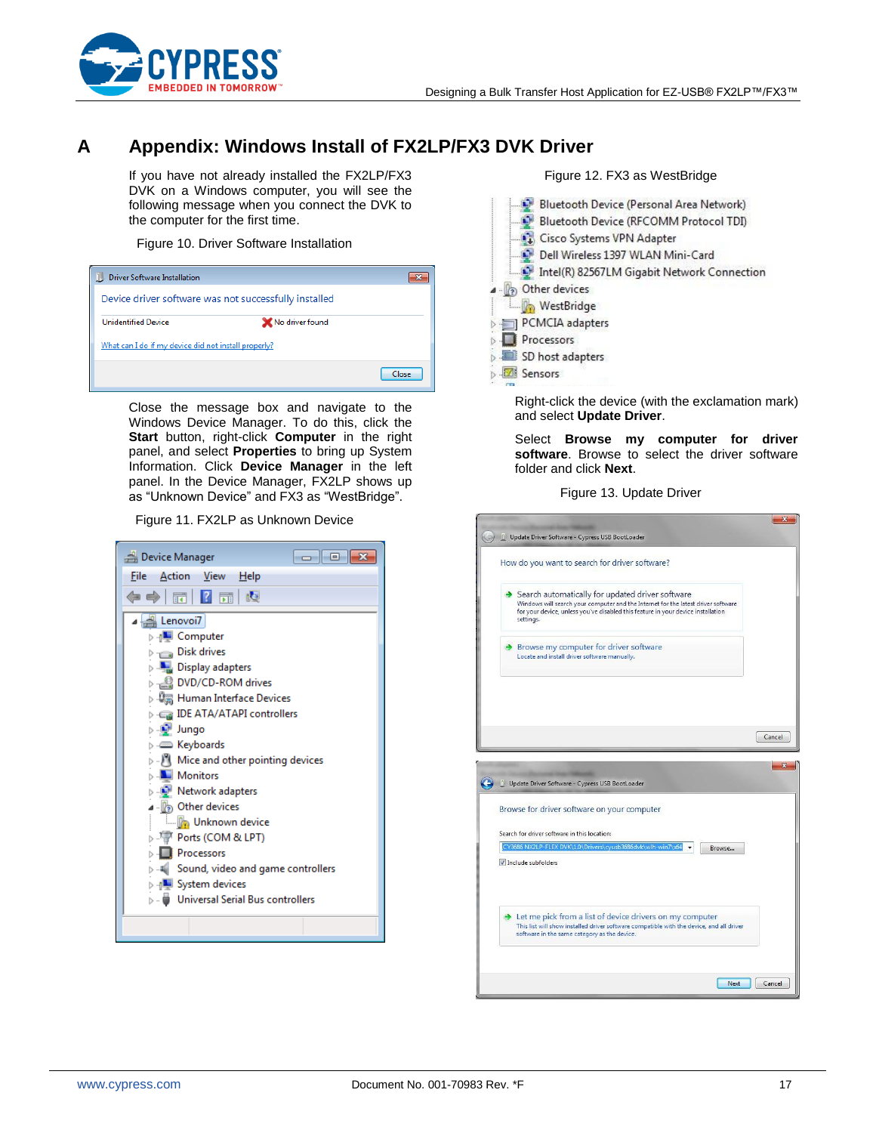

## <span id="page-16-0"></span>**A Appendix: Windows Install of FX2LP/FX3 DVK Driver**

If you have not already installed the FX2LP/FX3 DVK on a Windows computer, you will see the following message when you connect the DVK to the computer for the first time.

#### Figure 10. Driver Software Installation

| <b>Driver Software Installation</b>                   |                 |  |
|-------------------------------------------------------|-----------------|--|
| Device driver software was not successfully installed |                 |  |
| <b>Unidentified Device</b>                            | No driver found |  |
| What can I do if my device did not install properly?  |                 |  |
|                                                       | Close           |  |

Close the message box and navigate to the Windows Device Manager. To do this, click the **Start** button, right-click **Computer** in the right panel, and select **Properties** to bring up System Information. Click **Device Manager** in the left panel. In the Device Manager, FX2LP shows up as "Unknown Device" and FX3 as "WestBridge".

Figure 11. FX2LP as Unknown Device

| Device Manager<br>$  -$                                                      |  |  |  |  |  |
|------------------------------------------------------------------------------|--|--|--|--|--|
| <b>Action View</b><br>File<br>Help                                           |  |  |  |  |  |
|                                                                              |  |  |  |  |  |
| Lenovoi7                                                                     |  |  |  |  |  |
| ⊳ <sub>'l</sub> ■ Computer                                                   |  |  |  |  |  |
| Disk drives                                                                  |  |  |  |  |  |
| <b>Display adapters</b>                                                      |  |  |  |  |  |
| DVD/CD-ROM drives                                                            |  |  |  |  |  |
| ▷ 粵圖 Human Interface Devices                                                 |  |  |  |  |  |
| IDE ATA/ATAPI controllers السلسة المسلمين                                    |  |  |  |  |  |
| ⊳ . i Jungo                                                                  |  |  |  |  |  |
| <b>Exploands</b><br>$\triangleright$ $\cdot$ Mice and other pointing devices |  |  |  |  |  |
| Monitors                                                                     |  |  |  |  |  |
| <b>Network adapters</b>                                                      |  |  |  |  |  |
| 4 - (2) Other devices                                                        |  |  |  |  |  |
| Movie Unknown device                                                         |  |  |  |  |  |
| ▷ 『『『Ports (COM & LPT)                                                       |  |  |  |  |  |
| <b>Processors</b>                                                            |  |  |  |  |  |
| $\triangleright$ -4 Sound, video and game controllers                        |  |  |  |  |  |
| <b>D</b> -4 System devices                                                   |  |  |  |  |  |
| D - Whiversal Serial Bus controllers                                         |  |  |  |  |  |
|                                                                              |  |  |  |  |  |
|                                                                              |  |  |  |  |  |



Figure 12. FX3 as WestBridge

Right-click the device (with the exclamation mark) and select **Update Driver**.

Select **Browse my computer for driver software**. Browse to select the driver software folder and click **Next**.

Figure 13. Update Driver

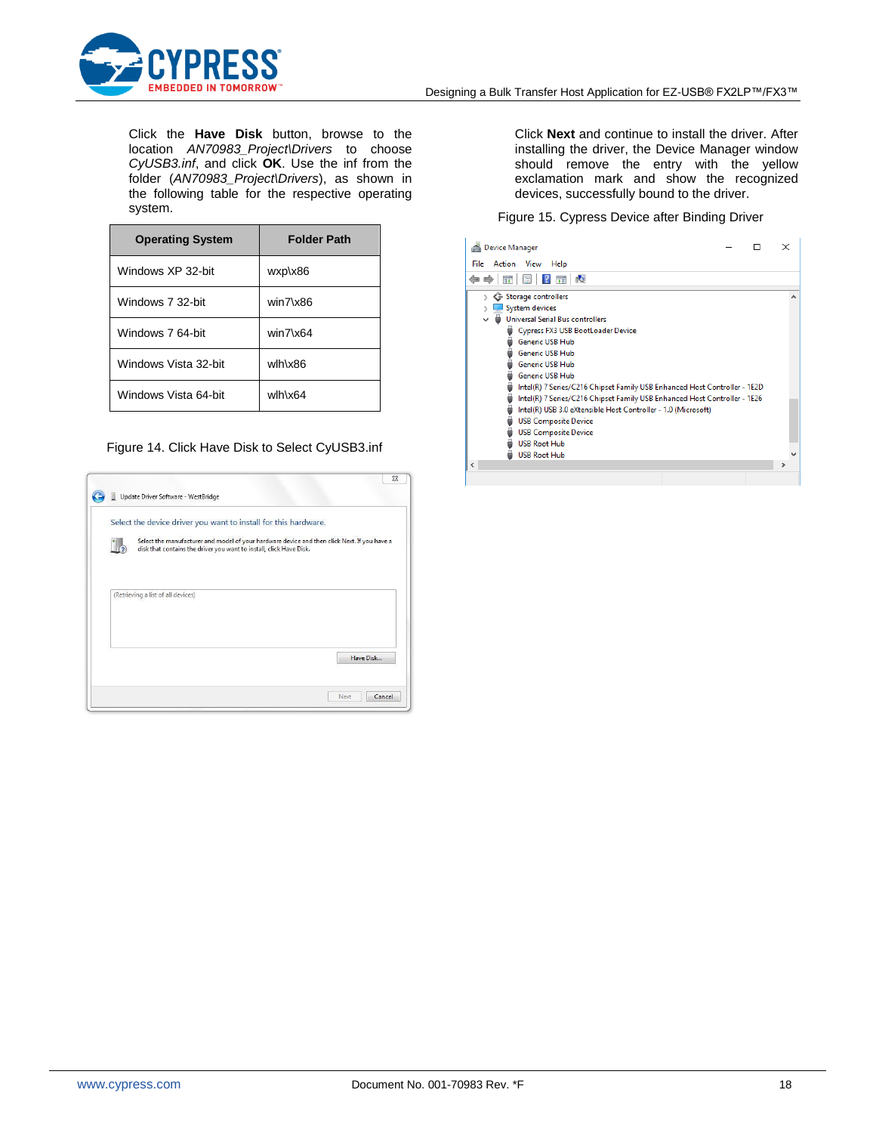

Click the **Have Disk** button, browse to the location *AN70983\_Project\Drivers* to choose *CyUSB3.inf*, and click **OK**. Use the inf from the folder (*AN70983\_Project\Drivers*), as shown in the following table for the respective operating system.

| <b>Operating System</b> | <b>Folder Path</b> |
|-------------------------|--------------------|
| Windows XP 32-bit       | wxp\x86            |
| Windows 7 32-bit        | $win7\x86$         |
| Windows 7 64-bit        | $win7\x64$         |
| Windows Vista 32-bit    | wlh\x86            |
| Windows Vista 64-bit    | wlh\x64            |

#### Figure 14. Click Have Disk to Select CyUSB3.inf

|                                    | Select the device driver you want to install for this hardware.                                                                                                     |  |           |
|------------------------------------|---------------------------------------------------------------------------------------------------------------------------------------------------------------------|--|-----------|
|                                    | Select the manufacturer and model of your hardware device and then click Next. If you have a<br>disk that contains the driver you want to install, click Have Disk. |  |           |
|                                    |                                                                                                                                                                     |  |           |
|                                    |                                                                                                                                                                     |  |           |
| (Retrieving a list of all devices) |                                                                                                                                                                     |  |           |
|                                    |                                                                                                                                                                     |  |           |
|                                    |                                                                                                                                                                     |  |           |
|                                    |                                                                                                                                                                     |  |           |
|                                    |                                                                                                                                                                     |  | Have Disk |

Click **Next** and continue to install the driver. After installing the driver, the Device Manager window should remove the entry with the yellow exclamation mark and show the recognized devices, successfully bound to the driver.

#### Figure 15. Cypress Device after Binding Driver

| <b>Device Manager</b>                                                                                                                                                                                                                                  |  | × |  |
|--------------------------------------------------------------------------------------------------------------------------------------------------------------------------------------------------------------------------------------------------------|--|---|--|
| File<br>Action<br>View<br>Help                                                                                                                                                                                                                         |  |   |  |
| ı.G<br>請<br>唔                                                                                                                                                                                                                                          |  |   |  |
| ← Storage controllers<br>$\mathcal{P}$<br>System devices<br><b>Universal Serial Bus controllers</b>                                                                                                                                                    |  |   |  |
| <b>Cypress FX3 USB BootLoader Device</b><br><b>Generic USB Hub</b><br><b>Generic USB Hub</b><br><b>Generic USB Hub</b><br><b>Generic USB Hub</b><br>Intel(R) 7 Series/C216 Chipset Family USB Enhanced Host Controller - 1E2D                          |  |   |  |
| Intel(R) 7 Series/C216 Chipset Family USB Enhanced Host Controller - 1E26<br>Intel(R) USB 3.0 eXtensible Host Controller - 1.0 (Microsoft)<br><b>USB Composite Device</b><br><b>USB Composite Device</b><br><b>USB Root Hub</b><br><b>USB Root Hub</b> |  |   |  |
| ≺                                                                                                                                                                                                                                                      |  | > |  |
|                                                                                                                                                                                                                                                        |  |   |  |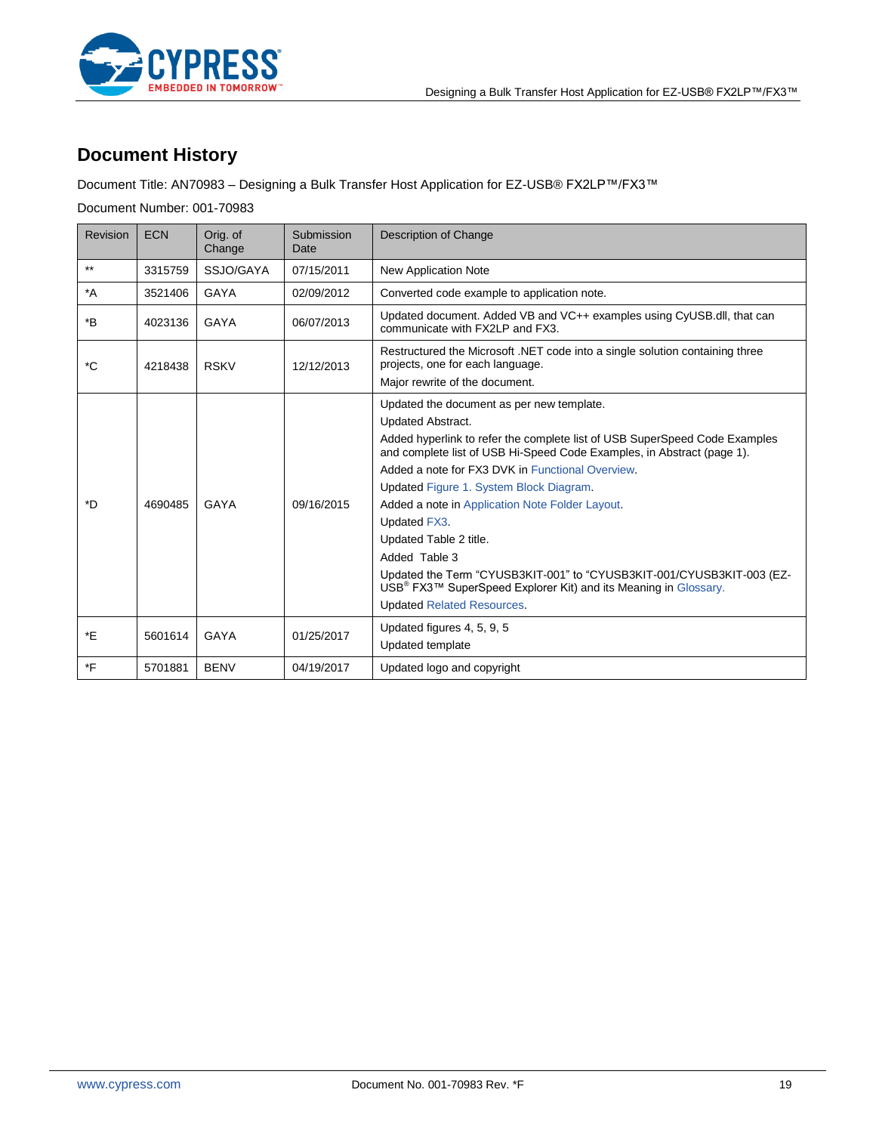



# **Document History**

Document Title: AN70983 – Designing a Bulk Transfer Host Application for EZ-USB® FX2LP™/FX3™

Document Number: 001-70983

| Revision | <b>ECN</b> | Orig. of<br>Change | Submission<br>Date | Description of Change                                                                                                                                                                                                                                                                                                                                                                                                                                                                                                                                                                                                                          |
|----------|------------|--------------------|--------------------|------------------------------------------------------------------------------------------------------------------------------------------------------------------------------------------------------------------------------------------------------------------------------------------------------------------------------------------------------------------------------------------------------------------------------------------------------------------------------------------------------------------------------------------------------------------------------------------------------------------------------------------------|
| $***$    | 3315759    | SSJO/GAYA          | 07/15/2011         | <b>New Application Note</b>                                                                                                                                                                                                                                                                                                                                                                                                                                                                                                                                                                                                                    |
| $^*A$    | 3521406    | GAYA               | 02/09/2012         | Converted code example to application note.                                                                                                                                                                                                                                                                                                                                                                                                                                                                                                                                                                                                    |
| *B       | 4023136    | GAYA               | 06/07/2013         | Updated document. Added VB and VC++ examples using CyUSB.dll, that can<br>communicate with FX2LP and FX3.                                                                                                                                                                                                                                                                                                                                                                                                                                                                                                                                      |
| *C       | 4218438    | <b>RSKV</b>        | 12/12/2013         | Restructured the Microsoft .NET code into a single solution containing three<br>projects, one for each language.<br>Major rewrite of the document.                                                                                                                                                                                                                                                                                                                                                                                                                                                                                             |
| *D       | 4690485    | GAYA               | 09/16/2015         | Updated the document as per new template.<br><b>Updated Abstract.</b><br>Added hyperlink to refer the complete list of USB SuperSpeed Code Examples<br>and complete list of USB Hi-Speed Code Examples, in Abstract (page 1).<br>Added a note for FX3 DVK in Functional Overview.<br><b>Updated Figure 1. System Block Diagram.</b><br>Added a note in Application Note Folder Layout.<br>Updated FX3.<br>Updated Table 2 title.<br>Added Table 3<br>Updated the Term "CYUSB3KIT-001" to "CYUSB3KIT-001/CYUSB3KIT-003 (EZ-<br>USB <sup>®</sup> FX3™ SuperSpeed Explorer Kit) and its Meaning in Glossary.<br><b>Updated Related Resources.</b> |
| *F       | 5601614    | GAYA               | 01/25/2017         | Updated figures 4, 5, 9, 5<br>Updated template                                                                                                                                                                                                                                                                                                                                                                                                                                                                                                                                                                                                 |
| *F       | 5701881    | <b>BENV</b>        | 04/19/2017         | Updated logo and copyright                                                                                                                                                                                                                                                                                                                                                                                                                                                                                                                                                                                                                     |